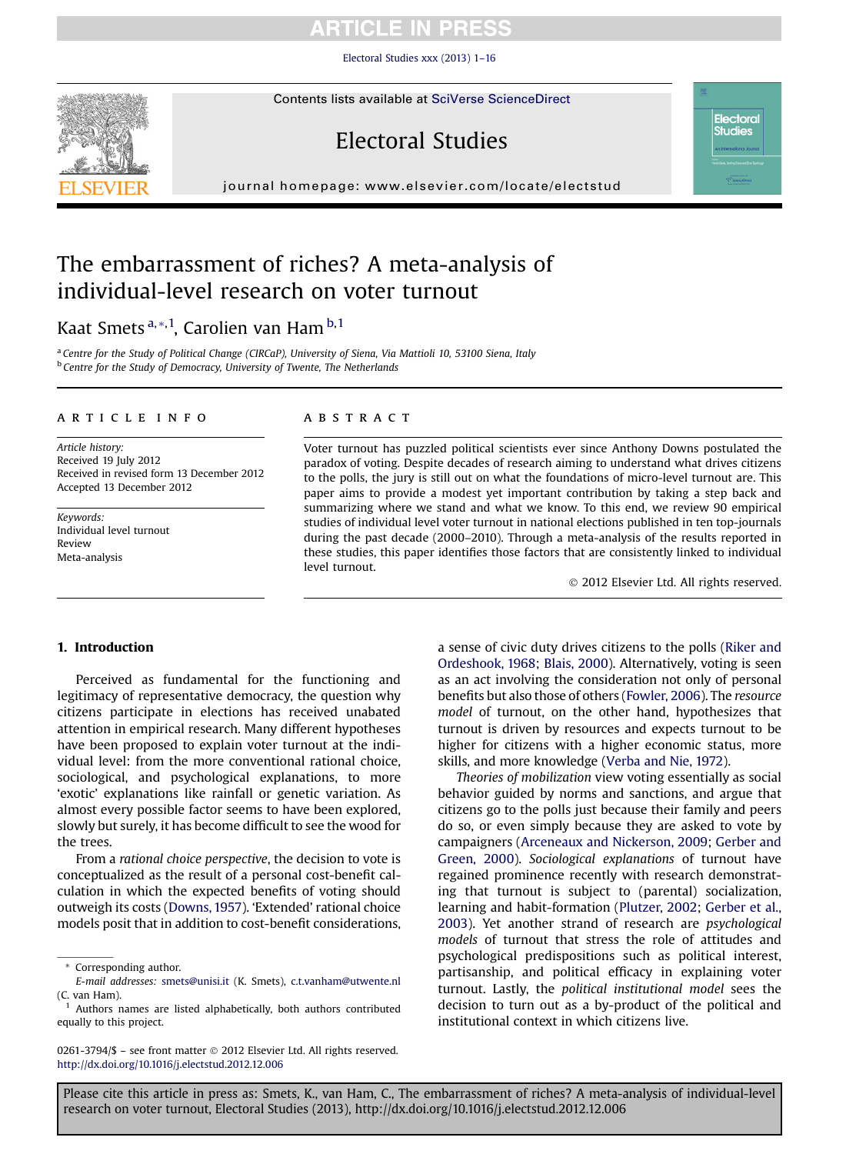[Electoral Studies xxx \(2013\) 1](http://dx.doi.org/10.1016/j.electstud.2012.12.006)–16

Contents lists available at [SciVerse ScienceDirect](www.sciencedirect.com/science/journal/02613794)

# Electoral Studies

journal homepage: [www.elsevier.com/locate/electstud](http://www.elsevier.com/locate/electstud)

## The embarrassment of riches? A meta-analysis of individual-level research on voter turnout

Kaat Smets<sup>a,</sup>\*,<sup>1</sup>, Carolien van Ham <sup>b,1</sup>

<sup>a</sup> Centre for the Study of Political Change (CIRCaP), University of Siena, Via Mattioli 10, 53100 Siena, Italy **b** Centre for the Study of Democracy, University of Twente, The Netherlands

#### article info

Article history: Received 19 July 2012 Received in revised form 13 December 2012 Accepted 13 December 2012

Keywords: Individual level turnout Review Meta-analysis

#### **ABSTRACT**

Voter turnout has puzzled political scientists ever since Anthony Downs postulated the paradox of voting. Despite decades of research aiming to understand what drives citizens to the polls, the jury is still out on what the foundations of micro-level turnout are. This paper aims to provide a modest yet important contribution by taking a step back and summarizing where we stand and what we know. To this end, we review 90 empirical studies of individual level voter turnout in national elections published in ten top-journals during the past decade (2000–2010). Through a meta-analysis of the results reported in these studies, this paper identifies those factors that are consistently linked to individual level turnout.

2012 Elsevier Ltd. All rights reserved.

**Electoral Studies** 

#### 1. Introduction

Perceived as fundamental for the functioning and legitimacy of representative democracy, the question why citizens participate in elections has received unabated attention in empirical research. Many different hypotheses have been proposed to explain voter turnout at the individual level: from the more conventional rational choice, sociological, and psychological explanations, to more 'exotic' explanations like rainfall or genetic variation. As almost every possible factor seems to have been explored, slowly but surely, it has become difficult to see the wood for the trees.

From a rational choice perspective, the decision to vote is conceptualized as the result of a personal cost-benefit calculation in which the expected benefits of voting should outweigh its costs ([Downs, 1957\)](#page-14-0). 'Extended' rational choice models posit that in addition to cost-benefit considerations,

0261-3794/\$ - see front matter © 2012 Elsevier Ltd. All rights reserved. <http://dx.doi.org/10.1016/j.electstud.2012.12.006>

a sense of civic duty drives citizens to the polls ([Riker and](#page-14-0) [Ordeshook, 1968;](#page-14-0) [Blais, 2000](#page-13-0)). Alternatively, voting is seen as an act involving the consideration not only of personal benefits but also those of others [\(Fowler, 2006\)](#page-14-0). The resource model of turnout, on the other hand, hypothesizes that turnout is driven by resources and expects turnout to be higher for citizens with a higher economic status, more skills, and more knowledge [\(Verba and Nie, 1972\)](#page-14-0).

Theories of mobilization view voting essentially as social behavior guided by norms and sanctions, and argue that citizens go to the polls just because their family and peers do so, or even simply because they are asked to vote by campaigners [\(Arceneaux and Nickerson, 2009;](#page-13-0) [Gerber and](#page-14-0) [Green, 2000\)](#page-14-0). Sociological explanations of turnout have regained prominence recently with research demonstrating that turnout is subject to (parental) socialization, learning and habit-formation ([Plutzer, 2002;](#page-14-0) [Gerber et al.,](#page-14-0) [2003](#page-14-0)). Yet another strand of research are psychological models of turnout that stress the role of attitudes and psychological predispositions such as political interest, partisanship, and political efficacy in explaining voter turnout. Lastly, the political institutional model sees the decision to turn out as a by-product of the political and institutional context in which citizens live.

<sup>\*</sup> Corresponding author.

E-mail addresses: [smets@unisi.it](mailto:smets@unisi.it) (K. Smets), [c.t.vanham@utwente.nl](mailto:c.t.vanham@utwente.nl) (C. van Ham).

Authors names are listed alphabetically, both authors contributed equally to this project.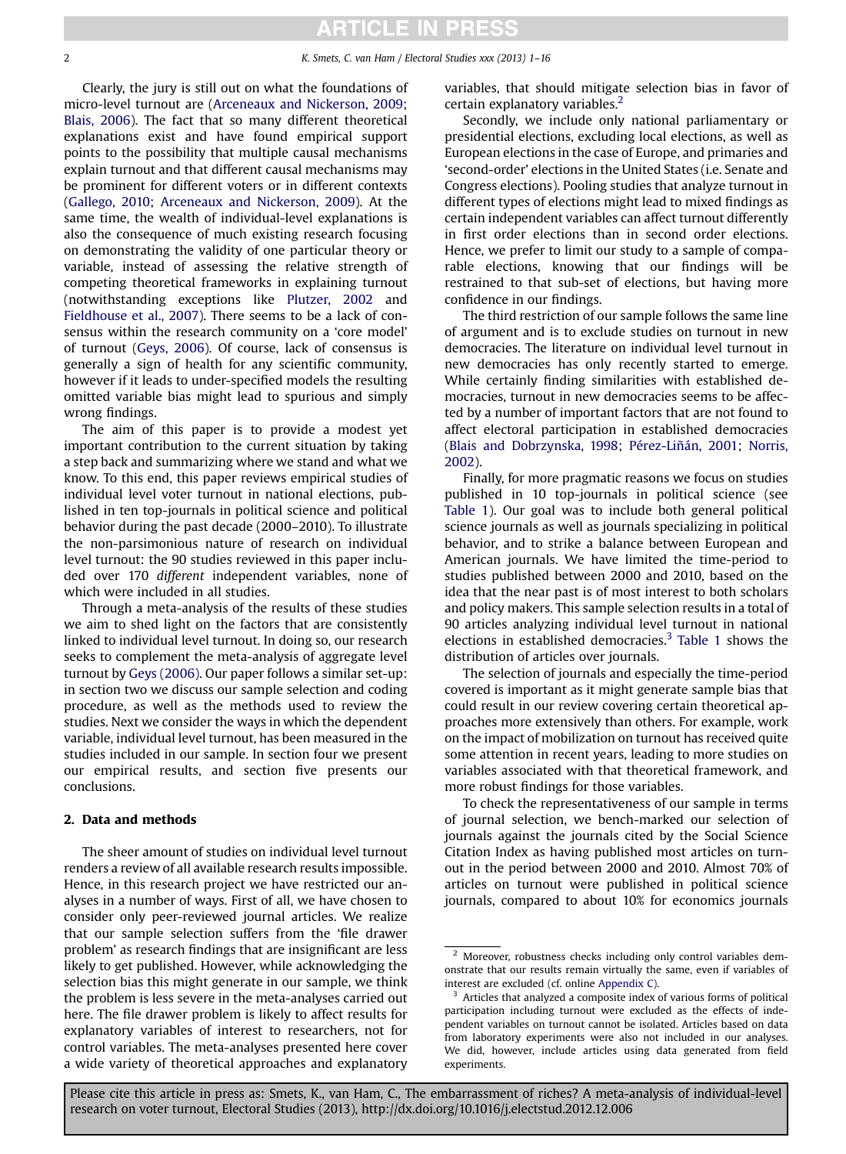Clearly, the jury is still out on what the foundations of micro-level turnout are [\(Arceneaux and Nickerson, 2009](#page-13-0); [Blais, 2006\)](#page-13-0). The fact that so many different theoretical explanations exist and have found empirical support points to the possibility that multiple causal mechanisms explain turnout and that different causal mechanisms may be prominent for different voters or in different contexts [\(Gallego, 2010](#page-14-0); [Arceneaux and Nickerson, 2009\)](#page-13-0). At the same time, the wealth of individual-level explanations is also the consequence of much existing research focusing on demonstrating the validity of one particular theory or variable, instead of assessing the relative strength of competing theoretical frameworks in explaining turnout (notwithstanding exceptions like [Plutzer, 2002](#page-14-0) and [Fieldhouse et al., 2007\)](#page-14-0). There seems to be a lack of consensus within the research community on a 'core model' of turnout [\(Geys, 2006\)](#page-14-0). Of course, lack of consensus is generally a sign of health for any scientific community, however if it leads to under-specified models the resulting omitted variable bias might lead to spurious and simply wrong findings.

The aim of this paper is to provide a modest yet important contribution to the current situation by taking a step back and summarizing where we stand and what we know. To this end, this paper reviews empirical studies of individual level voter turnout in national elections, published in ten top-journals in political science and political behavior during the past decade (2000–2010). To illustrate the non-parsimonious nature of research on individual level turnout: the 90 studies reviewed in this paper included over 170 different independent variables, none of which were included in all studies.

Through a meta-analysis of the results of these studies we aim to shed light on the factors that are consistently linked to individual level turnout. In doing so, our research seeks to complement the meta-analysis of aggregate level turnout by [Geys \(2006\)](#page-14-0). Our paper follows a similar set-up: in section two we discuss our sample selection and coding procedure, as well as the methods used to review the studies. Next we consider the ways in which the dependent variable, individual level turnout, has been measured in the studies included in our sample. In section four we present our empirical results, and section five presents our conclusions.

### 2. Data and methods

The sheer amount of studies on individual level turnout renders a review of all available research results impossible. Hence, in this research project we have restricted our analyses in a number of ways. First of all, we have chosen to consider only peer-reviewed journal articles. We realize that our sample selection suffers from the 'file drawer problem' as research findings that are insignificant are less likely to get published. However, while acknowledging the selection bias this might generate in our sample, we think the problem is less severe in the meta-analyses carried out here. The file drawer problem is likely to affect results for explanatory variables of interest to researchers, not for control variables. The meta-analyses presented here cover a wide variety of theoretical approaches and explanatory variables, that should mitigate selection bias in favor of certain explanatory variables.<sup>2</sup>

Secondly, we include only national parliamentary or presidential elections, excluding local elections, as well as European elections in the case of Europe, and primaries and 'second-order' elections in the United States (i.e. Senate and Congress elections). Pooling studies that analyze turnout in different types of elections might lead to mixed findings as certain independent variables can affect turnout differently in first order elections than in second order elections. Hence, we prefer to limit our study to a sample of comparable elections, knowing that our findings will be restrained to that sub-set of elections, but having more confidence in our findings.

The third restriction of our sample follows the same line of argument and is to exclude studies on turnout in new democracies. The literature on individual level turnout in new democracies has only recently started to emerge. While certainly finding similarities with established democracies, turnout in new democracies seems to be affected by a number of important factors that are not found to affect electoral participation in established democracies [\(Blais and Dobrzynska, 1998;](#page-13-0) [Pérez-Liñán, 2001](#page-14-0); [Norris,](#page-14-0) [2002](#page-14-0)).

Finally, for more pragmatic reasons we focus on studies published in 10 top-journals in political science (see [Table 1\)](#page-2-0). Our goal was to include both general political science journals as well as journals specializing in political behavior, and to strike a balance between European and American journals. We have limited the time-period to studies published between 2000 and 2010, based on the idea that the near past is of most interest to both scholars and policy makers. This sample selection results in a total of 90 articles analyzing individual level turnout in national elections in established democracies.<sup>3</sup> [Table 1](#page-2-0) shows the distribution of articles over journals.

The selection of journals and especially the time-period covered is important as it might generate sample bias that could result in our review covering certain theoretical approaches more extensively than others. For example, work on the impact of mobilization on turnout has received quite some attention in recent years, leading to more studies on variables associated with that theoretical framework, and more robust findings for those variables.

To check the representativeness of our sample in terms of journal selection, we bench-marked our selection of journals against the journals cited by the Social Science Citation Index as having published most articles on turnout in the period between 2000 and 2010. Almost 70% of articles on turnout were published in political science journals, compared to about 10% for economics journals

<sup>2</sup> Moreover, robustness checks including only control variables demonstrate that our results remain virtually the same, even if variables of interest are excluded (cf. online Appendix C).

 $3$  Articles that analyzed a composite index of various forms of political participation including turnout were excluded as the effects of independent variables on turnout cannot be isolated. Articles based on data from laboratory experiments were also not included in our analyses. We did, however, include articles using data generated from field experiments.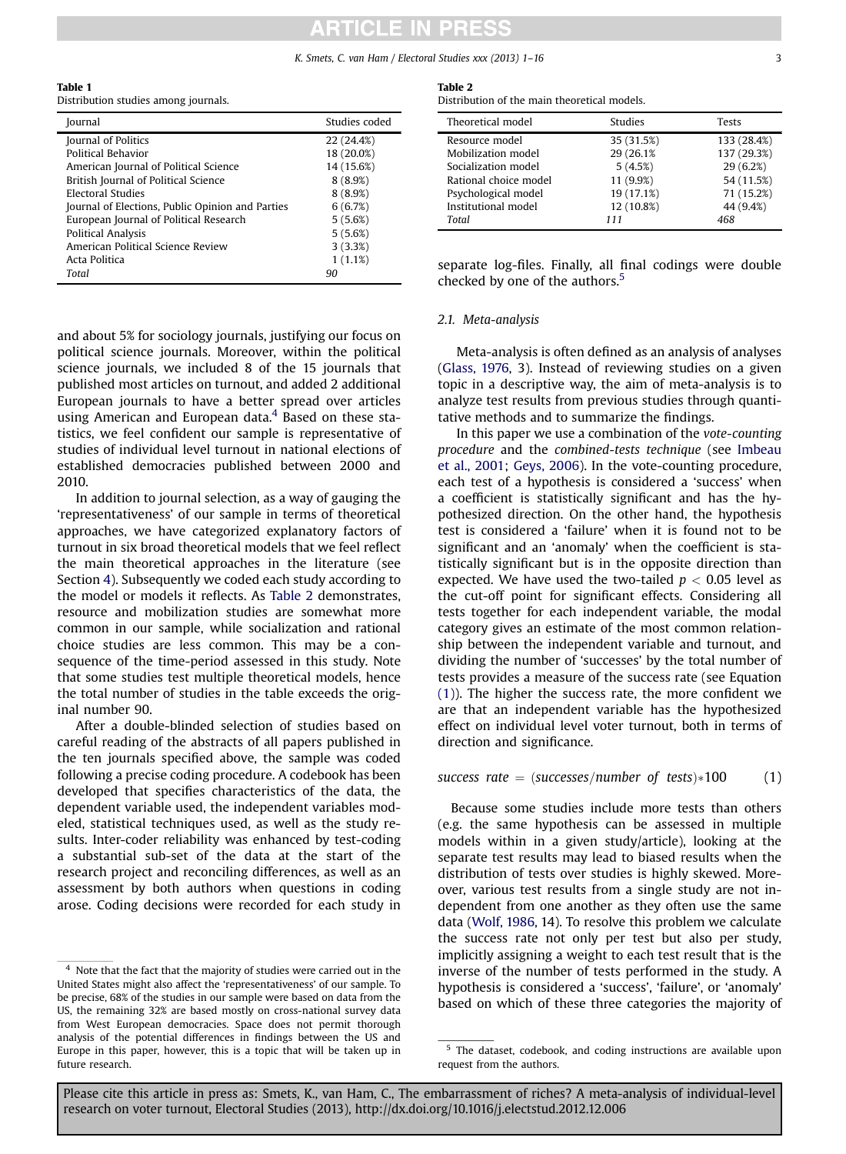#### K. Smets, C. van Ham / Electoral Studies xxx (2013) 1–16 3

#### <span id="page-2-0"></span>Table 1

Distribution studies among journals.

| <b>Iournal</b>                                   | Studies coded |
|--------------------------------------------------|---------------|
| Journal of Politics                              | 22 (24.4%)    |
| <b>Political Behavior</b>                        | 18 (20.0%)    |
| American Journal of Political Science            | 14 (15.6%)    |
| British Journal of Political Science             | 8(8.9%)       |
| <b>Electoral Studies</b>                         | 8(8.9%)       |
| Journal of Elections, Public Opinion and Parties | 6(6.7%)       |
| European Journal of Political Research           | 5(5.6%)       |
| Political Analysis                               | 5(5.6%)       |
| American Political Science Review                | 3(3.3%)       |
| Acta Politica                                    | 1(1.1%)       |
| Total                                            | 90            |

and about 5% for sociology journals, justifying our focus on political science journals. Moreover, within the political science journals, we included 8 of the 15 journals that published most articles on turnout, and added 2 additional European journals to have a better spread over articles using American and European data. $4$  Based on these statistics, we feel confident our sample is representative of studies of individual level turnout in national elections of established democracies published between 2000 and 2010.

In addition to journal selection, as a way of gauging the 'representativeness' of our sample in terms of theoretical approaches, we have categorized explanatory factors of turnout in six broad theoretical models that we feel reflect the main theoretical approaches in the literature (see Section [4](#page-3-0)). Subsequently we coded each study according to the model or models it reflects. As Table 2 demonstrates, resource and mobilization studies are somewhat more common in our sample, while socialization and rational choice studies are less common. This may be a consequence of the time-period assessed in this study. Note that some studies test multiple theoretical models, hence the total number of studies in the table exceeds the original number 90.

After a double-blinded selection of studies based on careful reading of the abstracts of all papers published in the ten journals specified above, the sample was coded following a precise coding procedure. A codebook has been developed that specifies characteristics of the data, the dependent variable used, the independent variables modeled, statistical techniques used, as well as the study results. Inter-coder reliability was enhanced by test-coding a substantial sub-set of the data at the start of the research project and reconciling differences, as well as an assessment by both authors when questions in coding arose. Coding decisions were recorded for each study in

#### Table 2

Distribution of the main theoretical models.

| Theoretical model     | <b>Studies</b> | Tests       |
|-----------------------|----------------|-------------|
| Resource model        | 35 (31.5%)     | 133 (28.4%) |
| Mobilization model    | 29 (26.1%)     | 137 (29.3%) |
| Socialization model   | 5(4.5%)        | 29(6.2%)    |
| Rational choice model | 11 (9.9%)      | 54 (11.5%)  |
| Psychological model   | 19 (17.1%)     | 71 (15.2%)  |
| Institutional model   | 12 (10.8%)     | 44 (9.4%)   |
| Total                 | 111            | 468         |

separate log-files. Finally, all final codings were double checked by one of the authors.<sup>5</sup>

#### 2.1. Meta-analysis

Meta-analysis is often defined as an analysis of analyses ([Glass, 1976,](#page-14-0) 3). Instead of reviewing studies on a given topic in a descriptive way, the aim of meta-analysis is to analyze test results from previous studies through quantitative methods and to summarize the findings.

In this paper we use a combination of the vote-counting procedure and the combined-tests technique (see [Imbeau](#page-14-0) [et al., 2001;](#page-14-0) [Geys, 2006\)](#page-14-0). In the vote-counting procedure, each test of a hypothesis is considered a 'success' when a coefficient is statistically significant and has the hypothesized direction. On the other hand, the hypothesis test is considered a 'failure' when it is found not to be significant and an 'anomaly' when the coefficient is statistically significant but is in the opposite direction than expected. We have used the two-tailed  $p < 0.05$  level as the cut-off point for significant effects. Considering all tests together for each independent variable, the modal category gives an estimate of the most common relationship between the independent variable and turnout, and dividing the number of 'successes' by the total number of tests provides a measure of the success rate (see Equation (1)). The higher the success rate, the more confident we are that an independent variable has the hypothesized effect on individual level voter turnout, both in terms of direction and significance.

success rate  $=$  (successes/number of tests) $*100$  (1)

Because some studies include more tests than others (e.g. the same hypothesis can be assessed in multiple models within in a given study/article), looking at the separate test results may lead to biased results when the distribution of tests over studies is highly skewed. Moreover, various test results from a single study are not independent from one another as they often use the same data ([Wolf, 1986](#page-14-0), 14). To resolve this problem we calculate the success rate not only per test but also per study, implicitly assigning a weight to each test result that is the inverse of the number of tests performed in the study. A hypothesis is considered a 'success', 'failure', or 'anomaly' based on which of these three categories the majority of

<sup>4</sup> Note that the fact that the majority of studies were carried out in the United States might also affect the 'representativeness' of our sample. To be precise, 68% of the studies in our sample were based on data from the US, the remaining 32% are based mostly on cross-national survey data from West European democracies. Space does not permit thorough analysis of the potential differences in findings between the US and Europe in this paper, however, this is a topic that will be taken up in future research.

<sup>5</sup> The dataset, codebook, and coding instructions are available upon request from the authors.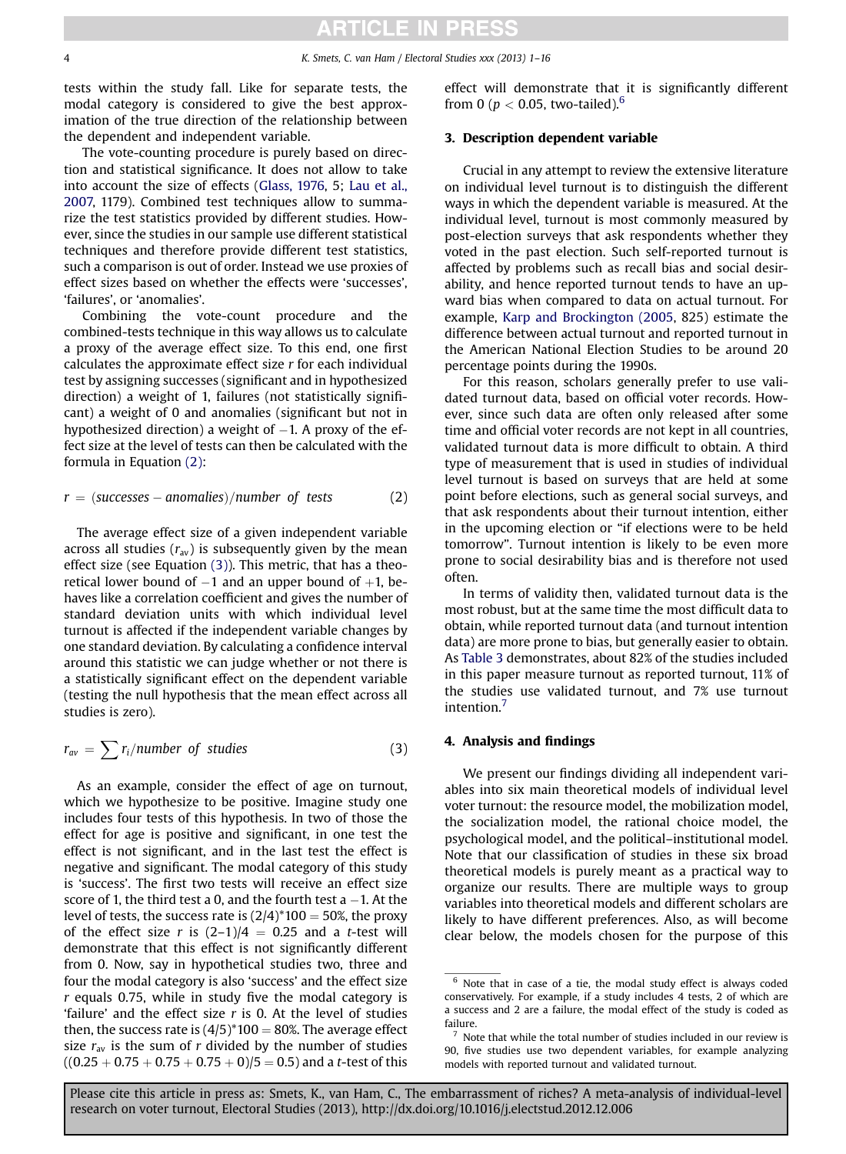<span id="page-3-0"></span>tests within the study fall. Like for separate tests, the modal category is considered to give the best approximation of the true direction of the relationship between the dependent and independent variable.

The vote-counting procedure is purely based on direction and statistical significance. It does not allow to take into account the size of effects ([Glass, 1976,](#page-14-0) 5; [Lau et al.,](#page-14-0) [2007,](#page-14-0) 1179). Combined test techniques allow to summarize the test statistics provided by different studies. However, since the studies in our sample use different statistical techniques and therefore provide different test statistics, such a comparison is out of order. Instead we use proxies of effect sizes based on whether the effects were 'successes', 'failures', or 'anomalies'.

Combining the vote-count procedure and the combined-tests technique in this way allows us to calculate a proxy of the average effect size. To this end, one first calculates the approximate effect size  $r$  for each individual test by assigning successes (significant and in hypothesized direction) a weight of 1, failures (not statistically significant) a weight of 0 and anomalies (significant but not in hypothesized direction) a weight of  $-1$ . A proxy of the effect size at the level of tests can then be calculated with the formula in Equation (2):

$$
r = (successes - anomalies)/number \ of \ tests \tag{2}
$$

The average effect size of a given independent variable across all studies  $(r_{av})$  is subsequently given by the mean effect size (see Equation (3)). This metric, that has a theoretical lower bound of  $-1$  and an upper bound of  $+1$ , behaves like a correlation coefficient and gives the number of standard deviation units with which individual level turnout is affected if the independent variable changes by one standard deviation. By calculating a confidence interval around this statistic we can judge whether or not there is a statistically significant effect on the dependent variable (testing the null hypothesis that the mean effect across all studies is zero).

$$
r_{av} = \sum r_i / number \ of \ studies \tag{3}
$$

As an example, consider the effect of age on turnout, which we hypothesize to be positive. Imagine study one includes four tests of this hypothesis. In two of those the effect for age is positive and significant, in one test the effect is not significant, and in the last test the effect is negative and significant. The modal category of this study is 'success'. The first two tests will receive an effect size score of 1, the third test a 0, and the fourth test  $a - 1$ . At the level of tests, the success rate is  $(2/4)^*100 = 50\%$ , the proxy of the effect size r is  $(2-1)/4 = 0.25$  and a t-test will demonstrate that this effect is not significantly different from 0. Now, say in hypothetical studies two, three and four the modal category is also 'success' and the effect size  $r$  equals 0.75, while in study five the modal category is 'failure' and the effect size  $r$  is 0. At the level of studies then, the success rate is  $(4/5)^*100 = 80\%$ . The average effect size  $r_{av}$  is the sum of r divided by the number of studies  $((0.25 + 0.75 + 0.75 + 0.75 + 0)/5 = 0.5)$  and a t-test of this effect will demonstrate that it is significantly different from 0 ( $p < 0.05$ , two-tailed).<sup>6</sup>

#### 3. Description dependent variable

Crucial in any attempt to review the extensive literature on individual level turnout is to distinguish the different ways in which the dependent variable is measured. At the individual level, turnout is most commonly measured by post-election surveys that ask respondents whether they voted in the past election. Such self-reported turnout is affected by problems such as recall bias and social desirability, and hence reported turnout tends to have an upward bias when compared to data on actual turnout. For example, [Karp and Brockington \(2005,](#page-14-0) 825) estimate the difference between actual turnout and reported turnout in the American National Election Studies to be around 20 percentage points during the 1990s.

For this reason, scholars generally prefer to use validated turnout data, based on official voter records. However, since such data are often only released after some time and official voter records are not kept in all countries, validated turnout data is more difficult to obtain. A third type of measurement that is used in studies of individual level turnout is based on surveys that are held at some point before elections, such as general social surveys, and that ask respondents about their turnout intention, either in the upcoming election or "if elections were to be held tomorrow". Turnout intention is likely to be even more prone to social desirability bias and is therefore not used often.

In terms of validity then, validated turnout data is the most robust, but at the same time the most difficult data to obtain, while reported turnout data (and turnout intention data) are more prone to bias, but generally easier to obtain. As [Table 3](#page-4-0) demonstrates, about 82% of the studies included in this paper measure turnout as reported turnout, 11% of the studies use validated turnout, and 7% use turnout intention.<sup>7</sup>

#### 4. Analysis and findings

We present our findings dividing all independent variables into six main theoretical models of individual level voter turnout: the resource model, the mobilization model, the socialization model, the rational choice model, the psychological model, and the political–institutional model. Note that our classification of studies in these six broad theoretical models is purely meant as a practical way to organize our results. There are multiple ways to group variables into theoretical models and different scholars are likely to have different preferences. Also, as will become clear below, the models chosen for the purpose of this

 $6$  Note that in case of a tie, the modal study effect is always coded conservatively. For example, if a study includes 4 tests, 2 of which are a success and 2 are a failure, the modal effect of the study is coded as failure.

 $7$  Note that while the total number of studies included in our review is 90, five studies use two dependent variables, for example analyzing models with reported turnout and validated turnout.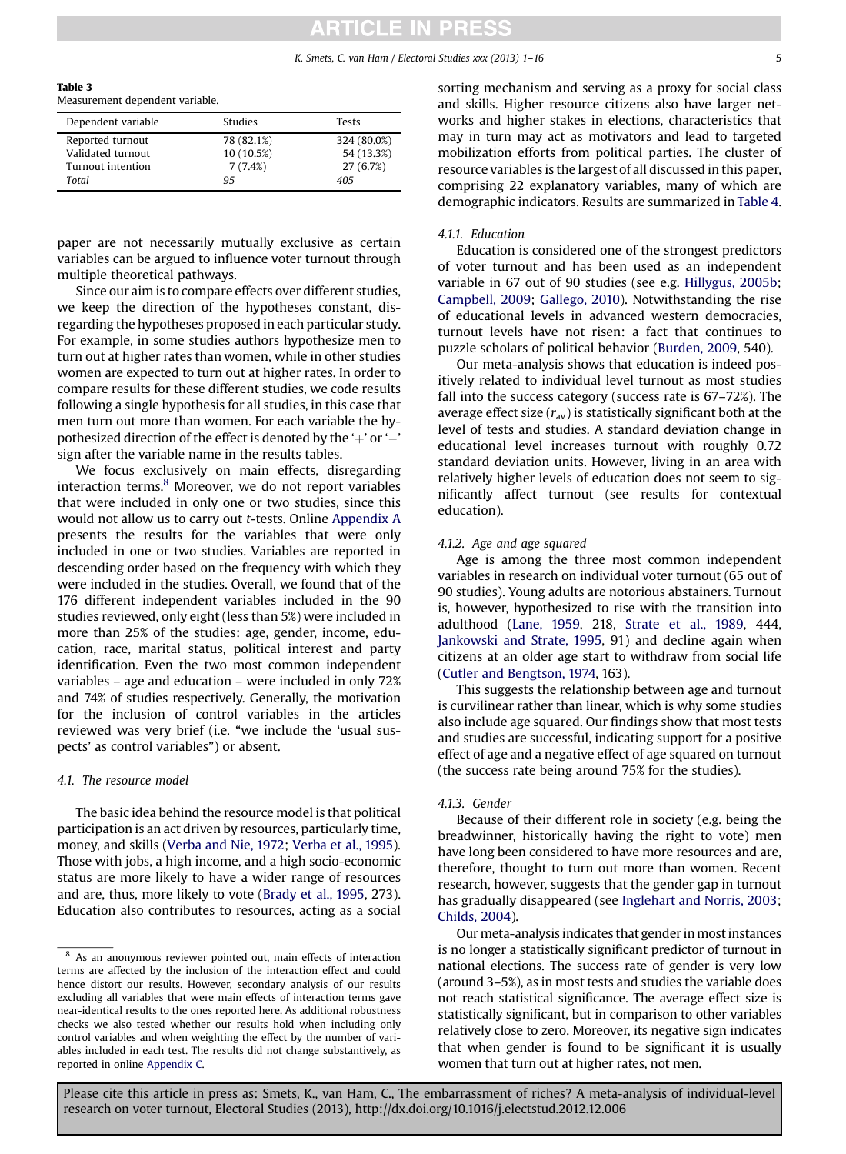K. Smets, C. van Ham / Electoral Studies xxx (2013) 1-16 55

<span id="page-4-0"></span>Table 3

Measurement dependent variable.

| Dependent variable | Studies    | Tests       |
|--------------------|------------|-------------|
| Reported turnout   | 78 (82.1%) | 324 (80.0%) |
| Validated turnout  | 10 (10.5%) | 54 (13.3%)  |
| Turnout intention  | 7(7.4%)    | 27 (6.7%)   |
| Total              | 95         | 405         |

paper are not necessarily mutually exclusive as certain variables can be argued to influence voter turnout through multiple theoretical pathways.

Since our aim is to compare effects over different studies, we keep the direction of the hypotheses constant, disregarding the hypotheses proposed in each particular study. For example, in some studies authors hypothesize men to turn out at higher rates than women, while in other studies women are expected to turn out at higher rates. In order to compare results for these different studies, we code results following a single hypothesis for all studies, in this case that men turn out more than women. For each variable the hypothesized direction of the effect is denoted by the  $+$  'or  $-$ ' sign after the variable name in the results tables.

We focus exclusively on main effects, disregarding interaction terms.<sup>8</sup> Moreover, we do not report variables that were included in only one or two studies, since this would not allow us to carry out t-tests. Online Appendix A presents the results for the variables that were only included in one or two studies. Variables are reported in descending order based on the frequency with which they were included in the studies. Overall, we found that of the 176 different independent variables included in the 90 studies reviewed, only eight (less than 5%) were included in more than 25% of the studies: age, gender, income, education, race, marital status, political interest and party identification. Even the two most common independent variables – age and education – were included in only 72% and 74% of studies respectively. Generally, the motivation for the inclusion of control variables in the articles reviewed was very brief (i.e. "we include the 'usual suspects' as control variables") or absent.

#### 4.1. The resource model

The basic idea behind the resource model is that political participation is an act driven by resources, particularly time, money, and skills ([Verba and Nie, 1972](#page-14-0); [Verba et al., 1995](#page-14-0)). Those with jobs, a high income, and a high socio-economic status are more likely to have a wider range of resources and are, thus, more likely to vote [\(Brady et al., 1995,](#page-13-0) 273). Education also contributes to resources, acting as a social sorting mechanism and serving as a proxy for social class and skills. Higher resource citizens also have larger networks and higher stakes in elections, characteristics that may in turn may act as motivators and lead to targeted mobilization efforts from political parties. The cluster of resource variables is the largest of all discussed in this paper, comprising 22 explanatory variables, many of which are demographic indicators. Results are summarized in [Table 4](#page-5-0).

#### 4.1.1. Education

Education is considered one of the strongest predictors of voter turnout and has been used as an independent variable in 67 out of 90 studies (see e.g. [Hillygus, 2005b](#page-14-0); [Campbell, 2009;](#page-13-0) [Gallego, 2010](#page-14-0)). Notwithstanding the rise of educational levels in advanced western democracies, turnout levels have not risen: a fact that continues to puzzle scholars of political behavior ([Burden, 2009](#page-13-0), 540).

Our meta-analysis shows that education is indeed positively related to individual level turnout as most studies fall into the success category (success rate is 67–72%). The average effect size  $(r_{av})$  is statistically significant both at the level of tests and studies. A standard deviation change in educational level increases turnout with roughly 0.72 standard deviation units. However, living in an area with relatively higher levels of education does not seem to significantly affect turnout (see results for contextual education).

#### 4.1.2. Age and age squared

Age is among the three most common independent variables in research on individual voter turnout (65 out of 90 studies). Young adults are notorious abstainers. Turnout is, however, hypothesized to rise with the transition into adulthood ([Lane, 1959](#page-14-0), 218, [Strate et al., 1989,](#page-14-0) 444, [Jankowski and Strate, 1995](#page-14-0), 91) and decline again when citizens at an older age start to withdraw from social life ([Cutler and Bengtson, 1974](#page-13-0), 163).

This suggests the relationship between age and turnout is curvilinear rather than linear, which is why some studies also include age squared. Our findings show that most tests and studies are successful, indicating support for a positive effect of age and a negative effect of age squared on turnout (the success rate being around 75% for the studies).

#### 4.1.3. Gender

Because of their different role in society (e.g. being the breadwinner, historically having the right to vote) men have long been considered to have more resources and are, therefore, thought to turn out more than women. Recent research, however, suggests that the gender gap in turnout has gradually disappeared (see [Inglehart and Norris, 2003](#page-14-0); [Childs, 2004\)](#page-13-0).

Our meta-analysis indicates that gender in most instances is no longer a statistically significant predictor of turnout in national elections. The success rate of gender is very low (around 3–5%), as in most tests and studies the variable does not reach statistical significance. The average effect size is statistically significant, but in comparison to other variables relatively close to zero. Moreover, its negative sign indicates that when gender is found to be significant it is usually women that turn out at higher rates, not men.

<sup>8</sup> As an anonymous reviewer pointed out, main effects of interaction terms are affected by the inclusion of the interaction effect and could hence distort our results. However, secondary analysis of our results excluding all variables that were main effects of interaction terms gave near-identical results to the ones reported here. As additional robustness checks we also tested whether our results hold when including only control variables and when weighting the effect by the number of variables included in each test. The results did not change substantively, as reported in online Appendix C.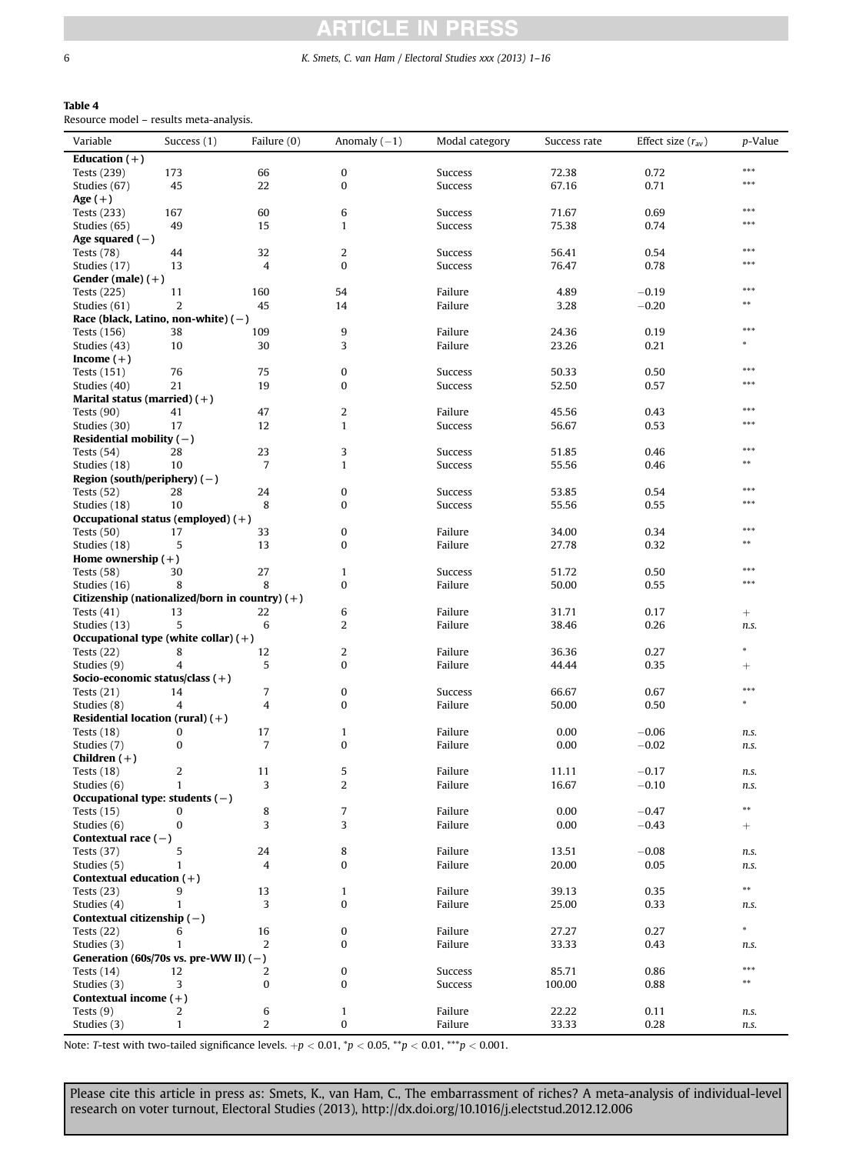l,

### **ARTICLE IN PRESS**

#### <span id="page-5-0"></span>6 K. Smets, C. van Ham / Electoral Studies xxx (2013) 1–16

#### Table 4

Resource model – results meta-analysis.

| Variable                                         | Success (1)  | Failure (0)    | Anomaly $(-1)$ | Modal category | Success rate | Effect size $(r_{av})$ | p-Value    |
|--------------------------------------------------|--------------|----------------|----------------|----------------|--------------|------------------------|------------|
| Education $(+)$                                  |              |                |                |                |              |                        |            |
| Tests (239)                                      | 173          | 66             | $\bf{0}$       | Success        | 72.38        | 0.72                   | ***        |
| Studies (67)                                     | 45           | 22             | $\bf{0}$       | Success        | 67.16        | 0.71                   | ***        |
| Age $(+)$                                        |              |                |                |                |              |                        |            |
| Tests (233)                                      | 167          | 60             | 6              | Success        | 71.67        | 0.69                   | ***        |
| Studies (65)                                     | 49           | 15             | $\mathbf{1}$   | Success        | 75.38        | 0.74                   | ***        |
| Age squared $(-)$                                |              |                |                |                |              |                        |            |
| Tests $(78)$                                     | 44           | 32             | 2              | Success        | 56.41        | 0.54                   | ***        |
| Studies (17)                                     | 13           | 4              | $\bf{0}$       | Success        | 76.47        | 0.78                   | ***        |
| Gender (male) $(+)$                              |              |                |                |                |              |                        |            |
| Tests (225)                                      | 11           | 160            | 54             | Failure        | 4.89         | $-0.19$                | ***        |
| Studies (61)                                     | 2            | 45             | 14             | Failure        | 3.28         | $-0.20$                | $**$       |
| Race (black, Latino, non-white) $(-)$            |              |                |                |                |              |                        |            |
| Tests (156)                                      | 38           | 109            | 9              | Failure        | 24.36        | 0.19                   | ***        |
| Studies (43)                                     | 10           | 30             | 3              | Failure        | 23.26        | 0.21                   |            |
| Income $(+)$                                     |              |                |                |                |              |                        |            |
| Tests (151)                                      | 76           | 75             | 0              | Success        | 50.33        | 0.50                   | ***        |
| Studies (40)                                     | 21           | 19             | 0              | Success        | 52.50        | 0.57                   | ***        |
| Marital status (married) $(+)$                   |              |                |                |                |              |                        |            |
| Tests $(90)$                                     | 41           | 47             | 2              | Failure        | 45.56        | 0.43                   | ***        |
| Studies (30)                                     | 17           | 12             | $\mathbf{1}$   | Success        | 56.67        | 0.53                   | ***        |
| Residential mobility $(-)$                       |              |                |                |                |              |                        |            |
|                                                  |              |                |                | Success        |              |                        | ***        |
| Tests $(54)$                                     | 28           | 23             | 3              |                | 51.85        | 0.46                   | $* *$      |
| Studies (18)                                     | 10           | 7              | $\mathbf{1}$   | Success        | 55.56        | 0.46                   |            |
| Region (south/periphery) $(-)$                   |              |                |                |                |              |                        | ***        |
| Tests $(52)$                                     | 28           | 24             | 0              | Success        | 53.85        | 0.54                   | ***        |
| Studies (18)                                     | 10           | 8              | $\bf{0}$       | Success        | 55.56        | 0.55                   |            |
| Occupational status (employed) $(+)$             |              |                |                |                |              |                        | ***        |
| Tests $(50)$                                     | 17           | 33             | 0              | Failure        | 34.00        | 0.34                   | $* *$      |
| Studies (18)                                     | 5            | 13             | $\bf{0}$       | Failure        | 27.78        | 0.32                   |            |
| Home ownership $(+)$                             |              |                |                |                |              |                        | ***        |
| Tests $(58)$                                     | 30           | 27             | $\mathbf{1}$   | Success        | 51.72        | 0.50                   | ***        |
| Studies (16)                                     | 8            | 8              | 0              | Failure        | 50.00        | 0.55                   |            |
| Citizenship (nationalized/born in country) $(+)$ |              |                |                |                |              |                        |            |
| Tests $(41)$                                     | 13           | 22             | 6              | Failure        | 31.71        | 0.17                   | $^{+}$     |
| Studies (13)                                     | 5            | 6              | 2              | Failure        | 38.46        | 0.26                   | n.s.       |
| Occupational type (white collar) $(+)$           |              |                |                |                |              |                        |            |
| Tests $(22)$                                     | 8            | 12             | 2              | Failure        | 36.36        | 0.27                   |            |
| Studies (9)                                      | 4            | 5              | 0              | Failure        | 44.44        | 0.35                   | $^{+}$     |
| Socio-economic status/class $(+)$                |              |                |                |                |              |                        | ***        |
| Tests $(21)$                                     | 14           | 7              | 0              | Success        | 66.67        | 0.67                   | *          |
| Studies (8)                                      | 4            | 4              | $\bf{0}$       | Failure        | 50.00        | 0.50                   |            |
| Residential location (rural) $(+)$               |              |                |                |                |              |                        |            |
| Tests $(18)$                                     | 0            | 17             | $\mathbf{1}$   | Failure        | 0.00         | $-0.06$                | n.s.       |
| Studies (7)                                      | 0            | $\overline{7}$ | $\bf{0}$       | Failure        | 0.00         | $-0.02$                | n.s.       |
| Children $(+)$                                   |              |                |                |                |              |                        |            |
| Tests $(18)$                                     | 2            | 11             | 5              | Failure        | 11.11        | $-0.17$                | n.s.       |
| Studies (6)                                      | 1            | 3              | $\overline{2}$ | Failure        | 16.67        | $-0.10$                | n.s.       |
| Occupational type: students $(-)$                |              |                |                |                |              |                        |            |
| Tests $(15)$                                     | 0            | 8              | $\overline{7}$ | Failure        | 0.00         | $-0.47$                | $***$      |
| Studies (6)                                      | 0            | 3              | 3              | Failure        | 0.00         | $-0.43$                | $^{+}$     |
| Contextual race $(-)$                            |              |                |                |                |              |                        |            |
| Tests $(37)$                                     | 5            | 24             | 8              | Failure        | 13.51        | $-0.08$                | n.s.       |
| Studies (5)                                      | 1            | 4              | $\bf{0}$       | Failure        | 20.00        | 0.05                   | n.s.       |
| Contextual education (+)                         |              |                |                |                |              |                        |            |
| Tests $(23)$                                     | 9            | 13             | $\mathbf{1}$   | Failure        | 39.13        | 0.35                   | $\ast\ast$ |
| Studies (4)                                      | 1            | 3              | $\pmb{0}$      | Failure        | 25.00        | 0.33                   | n.s.       |
| Contextual citizenship $(-)$                     |              |                |                |                |              |                        |            |
| Tests $(22)$                                     | 6            | 16             | $\pmb{0}$      | Failure        | 27.27        | 0.27                   | *          |
| Studies (3)                                      | $\mathbf{1}$ | 2              | $\pmb{0}$      | Failure        | 33.33        | 0.43                   | n.s.       |
| Generation (60s/70s vs. pre-WW II) $(-)$         |              |                |                |                |              |                        |            |
| Tests $(14)$                                     | 12           | 2              | $\pmb{0}$      | Success        | 85.71        | 0.86                   | ***        |
| Studies (3)                                      | 3            | $\bf{0}$       | $\pmb{0}$      | Success        | 100.00       | 0.88                   | $***$      |
| Contextual income $(+)$                          |              |                |                |                |              |                        |            |
| Tests $(9)$                                      | 2            | 6              | $\mathbf{1}$   | Failure        | 22.22        | 0.11                   | n.s.       |
| Studies (3)                                      | $\mathbf{1}$ | 2              | 0              | Failure        | 33.33        | 0.28                   | n.s.       |
|                                                  |              |                |                |                |              |                        |            |

Note: T-test with two-tailed significance levels.  $+p < 0.01$ ,  ${}^*p < 0.05$ ,  ${}^*p < 0.01$ ,  ${}^{***}p < 0.001$ .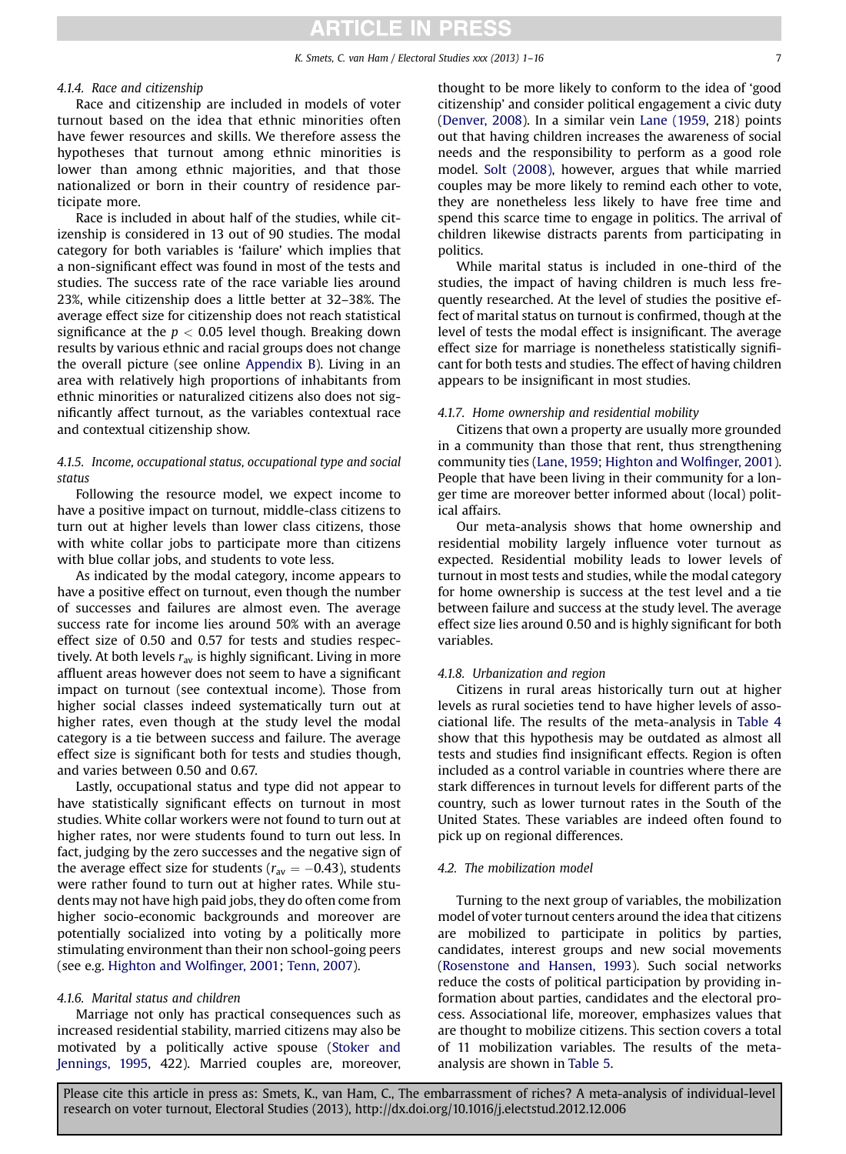#### 4.1.4. Race and citizenship

Race and citizenship are included in models of voter turnout based on the idea that ethnic minorities often have fewer resources and skills. We therefore assess the hypotheses that turnout among ethnic minorities is lower than among ethnic majorities, and that those nationalized or born in their country of residence participate more.

Race is included in about half of the studies, while citizenship is considered in 13 out of 90 studies. The modal category for both variables is 'failure' which implies that a non-significant effect was found in most of the tests and studies. The success rate of the race variable lies around 23%, while citizenship does a little better at 32–38%. The average effect size for citizenship does not reach statistical significance at the  $p < 0.05$  level though. Breaking down results by various ethnic and racial groups does not change the overall picture (see online Appendix B). Living in an area with relatively high proportions of inhabitants from ethnic minorities or naturalized citizens also does not significantly affect turnout, as the variables contextual race and contextual citizenship show.

#### 4.1.5. Income, occupational status, occupational type and social status

Following the resource model, we expect income to have a positive impact on turnout, middle-class citizens to turn out at higher levels than lower class citizens, those with white collar jobs to participate more than citizens with blue collar jobs, and students to vote less.

As indicated by the modal category, income appears to have a positive effect on turnout, even though the number of successes and failures are almost even. The average success rate for income lies around 50% with an average effect size of 0.50 and 0.57 for tests and studies respectively. At both levels  $r_{av}$  is highly significant. Living in more affluent areas however does not seem to have a significant impact on turnout (see contextual income). Those from higher social classes indeed systematically turn out at higher rates, even though at the study level the modal category is a tie between success and failure. The average effect size is significant both for tests and studies though, and varies between 0.50 and 0.67.

Lastly, occupational status and type did not appear to have statistically significant effects on turnout in most studies. White collar workers were not found to turn out at higher rates, nor were students found to turn out less. In fact, judging by the zero successes and the negative sign of the average effect size for students ( $r_{av} = -0.43$ ), students were rather found to turn out at higher rates. While students may not have high paid jobs, they do often come from higher socio-economic backgrounds and moreover are potentially socialized into voting by a politically more stimulating environment than their non school-going peers (see e.g. [Highton and Wol](#page-14-0)finger, 2001; [Tenn, 2007](#page-14-0)).

#### 4.1.6. Marital status and children

Marriage not only has practical consequences such as increased residential stability, married citizens may also be motivated by a politically active spouse ([Stoker and](#page-14-0) [Jennings, 1995](#page-14-0), 422). Married couples are, moreover, thought to be more likely to conform to the idea of 'good citizenship' and consider political engagement a civic duty ([Denver, 2008](#page-14-0)). In a similar vein [Lane \(1959,](#page-14-0) 218) points out that having children increases the awareness of social needs and the responsibility to perform as a good role model. [Solt \(2008\)](#page-14-0), however, argues that while married couples may be more likely to remind each other to vote, they are nonetheless less likely to have free time and spend this scarce time to engage in politics. The arrival of children likewise distracts parents from participating in politics.

While marital status is included in one-third of the studies, the impact of having children is much less frequently researched. At the level of studies the positive effect of marital status on turnout is confirmed, though at the level of tests the modal effect is insignificant. The average effect size for marriage is nonetheless statistically significant for both tests and studies. The effect of having children appears to be insignificant in most studies.

#### 4.1.7. Home ownership and residential mobility

Citizens that own a property are usually more grounded in a community than those that rent, thus strengthening community ties ([Lane, 1959;](#page-14-0) [Highton and Wol](#page-14-0)finger, 2001). People that have been living in their community for a longer time are moreover better informed about (local) political affairs.

Our meta-analysis shows that home ownership and residential mobility largely influence voter turnout as expected. Residential mobility leads to lower levels of turnout in most tests and studies, while the modal category for home ownership is success at the test level and a tie between failure and success at the study level. The average effect size lies around 0.50 and is highly significant for both variables.

#### 4.1.8. Urbanization and region

Citizens in rural areas historically turn out at higher levels as rural societies tend to have higher levels of associational life. The results of the meta-analysis in [Table 4](#page-5-0) show that this hypothesis may be outdated as almost all tests and studies find insignificant effects. Region is often included as a control variable in countries where there are stark differences in turnout levels for different parts of the country, such as lower turnout rates in the South of the United States. These variables are indeed often found to pick up on regional differences.

#### 4.2. The mobilization model

Turning to the next group of variables, the mobilization model of voter turnout centers around the idea that citizens are mobilized to participate in politics by parties, candidates, interest groups and new social movements ([Rosenstone and Hansen, 1993\)](#page-14-0). Such social networks reduce the costs of political participation by providing information about parties, candidates and the electoral process. Associational life, moreover, emphasizes values that are thought to mobilize citizens. This section covers a total of 11 mobilization variables. The results of the metaanalysis are shown in [Table 5.](#page-7-0)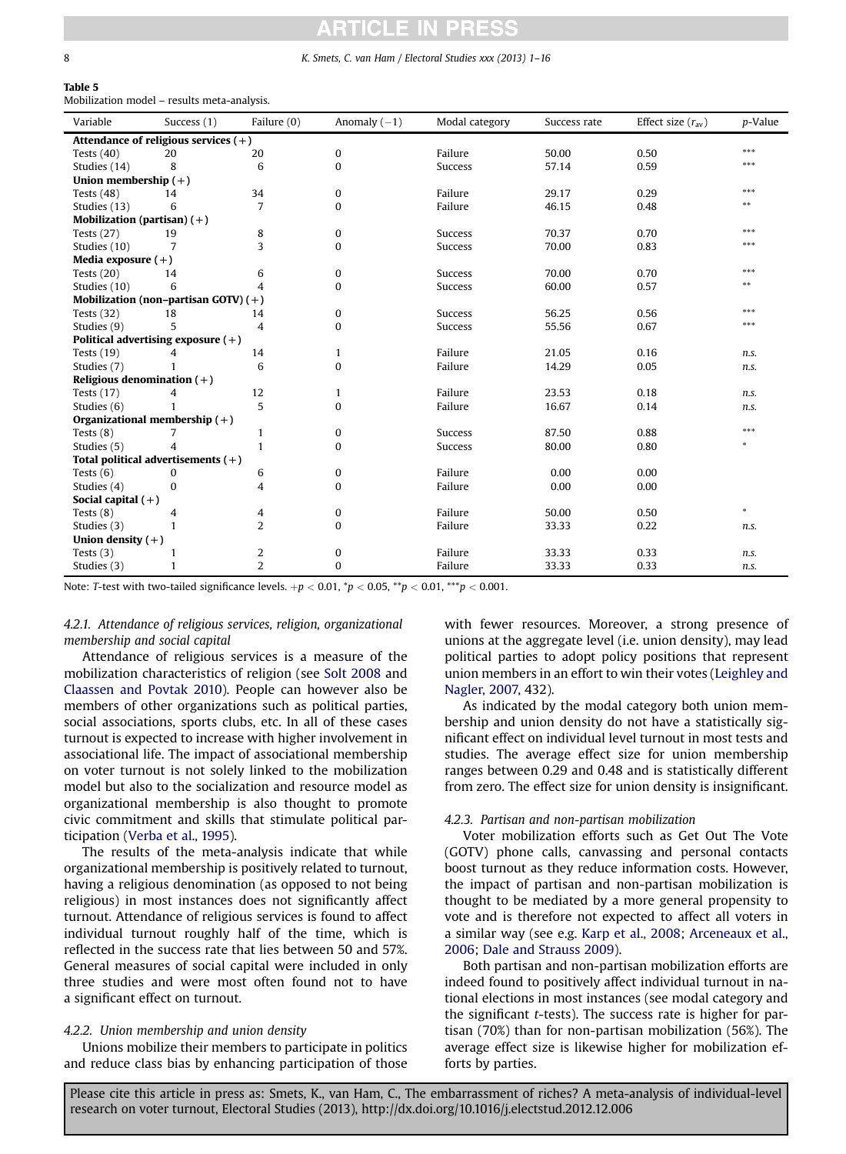#### <span id="page-7-0"></span>8 K. Smets, C. van Ham / Electoral Studies xxx (2013) 1–16

#### Table 5 Mobilization model – results meta-analysis.

| Variable                      | Success (1)                            | Failure (0)    | Anomaly $(-1)$ | Modal category | Success rate | Effect size $(r_{av})$ | p-Value |
|-------------------------------|----------------------------------------|----------------|----------------|----------------|--------------|------------------------|---------|
|                               | Attendance of religious services $(+)$ |                |                |                |              |                        |         |
| Tests $(40)$                  | 20                                     | 20             | 0              | Failure        | 50.00        | 0.50                   | ***     |
| Studies (14)                  | 8                                      | 6              | $\bf{0}$       | Success        | 57.14        | 0.59                   | ***     |
| Union membership $(+)$        |                                        |                |                |                |              |                        |         |
| Tests $(48)$                  | 14                                     | 34             | 0              | Failure        | 29.17        | 0.29                   | ***     |
| Studies (13)                  | 6                                      | $\overline{7}$ | $\mathbf{0}$   | Failure        | 46.15        | 0.48                   | $***$   |
| Mobilization (partisan) $(+)$ |                                        |                |                |                |              |                        |         |
| Tests $(27)$                  | 19                                     | 8              | 0              | Success        | 70.37        | 0.70                   | ***     |
| Studies (10)                  | 7                                      | 3              | $\bf{0}$       | <b>Success</b> | 70.00        | 0.83                   | ***     |
| Media exposure $(+)$          |                                        |                |                |                |              |                        |         |
| Tests $(20)$                  | 14                                     | 6              | $\mathbf{0}$   | <b>Success</b> | 70.00        | 0.70                   | ***     |
| Studies (10)                  | 6                                      | 4              | $\bf{0}$       | <b>Success</b> | 60.00        | 0.57                   | **      |
|                               | Mobilization (non-partisan GOTV) $(+)$ |                |                |                |              |                        |         |
| Tests $(32)$                  | 18                                     | 14             | 0              | <b>Success</b> | 56.25        | 0.56                   | ***     |
| Studies (9)                   | 5                                      | 4              | $\bf{0}$       | <b>Success</b> | 55.56        | 0.67                   | ***     |
|                               | Political advertising exposure $(+)$   |                |                |                |              |                        |         |
| Tests $(19)$                  | 4                                      | 14             | $\mathbf{1}$   | Failure        | 21.05        | 0.16                   | n.s.    |
| Studies (7)                   |                                        | 6              | $\bf{0}$       | Failure        | 14.29        | 0.05                   | n.s.    |
| Religious denomination $(+)$  |                                        |                |                |                |              |                        |         |
| Tests $(17)$                  | 4                                      | 12             | $\mathbf{1}$   | Failure        | 23.53        | 0.18                   | n.s.    |
| Studies (6)                   |                                        | 5              | 0              | Failure        | 16.67        | 0.14                   | n.s.    |
|                               | Organizational membership $(+)$        |                |                |                |              |                        |         |
| Tests $(8)$                   | 7                                      | 1              | 0              | <b>Success</b> | 87.50        | 0.88                   | ***     |
| Studies (5)                   | 4                                      | $\mathbf{1}$   | $\mathbf{0}$   | <b>Success</b> | 80.00        | 0.80                   | $\ast$  |
|                               | Total political advertisements $(+)$   |                |                |                |              |                        |         |
| Tests $(6)$                   | 0                                      | 6              | 0              | Failure        | 0.00         | 0.00                   |         |
| Studies (4)                   | 0                                      | 4              | $\bf{0}$       | Failure        | 0.00         | 0.00                   |         |
| Social capital $(+)$          |                                        |                |                |                |              |                        |         |
| Tests $(8)$                   | 4                                      | 4              | 0              | Failure        | 50.00        | 0.50                   | $\ast$  |
| Studies (3)                   | 1                                      | $\overline{2}$ | $\bf{0}$       | Failure        | 33.33        | 0.22                   | n.s.    |
| Union density $(+)$           |                                        |                |                |                |              |                        |         |
| Tests $(3)$                   | 1                                      | 2              | 0              | Failure        | 33.33        | 0.33                   | n.s.    |
| Studies (3)                   | 1                                      | $\overline{2}$ | $\bf{0}$       | Failure        | 33.33        | 0.33                   | n.s.    |

Note: T-test with two-tailed significance levels.  $+p < 0.01$ ,  ${}^*p < 0.05$ ,  ${}^*p < 0.01$ ,  ${}^{***}p < 0.001$ .

#### 4.2.1. Attendance of religious services, religion, organizational membership and social capital

Attendance of religious services is a measure of the mobilization characteristics of religion (see [Solt 2008](#page-14-0) and [Claassen and Povtak 2010\)](#page-13-0). People can however also be members of other organizations such as political parties, social associations, sports clubs, etc. In all of these cases turnout is expected to increase with higher involvement in associational life. The impact of associational membership on voter turnout is not solely linked to the mobilization model but also to the socialization and resource model as organizational membership is also thought to promote civic commitment and skills that stimulate political participation ([Verba et al., 1995\)](#page-14-0).

The results of the meta-analysis indicate that while organizational membership is positively related to turnout, having a religious denomination (as opposed to not being religious) in most instances does not significantly affect turnout. Attendance of religious services is found to affect individual turnout roughly half of the time, which is reflected in the success rate that lies between 50 and 57%. General measures of social capital were included in only three studies and were most often found not to have a significant effect on turnout.

#### 4.2.2. Union membership and union density

Unions mobilize their members to participate in politics and reduce class bias by enhancing participation of those

with fewer resources. Moreover, a strong presence of unions at the aggregate level (i.e. union density), may lead political parties to adopt policy positions that represent union members in an effort to win their votes [\(Leighley and](#page-14-0) [Nagler, 2007,](#page-14-0) 432).

As indicated by the modal category both union membership and union density do not have a statistically significant effect on individual level turnout in most tests and studies. The average effect size for union membership ranges between 0.29 and 0.48 and is statistically different from zero. The effect size for union density is insignificant.

#### 4.2.3. Partisan and non-partisan mobilization

Voter mobilization efforts such as Get Out The Vote (GOTV) phone calls, canvassing and personal contacts boost turnout as they reduce information costs. However, the impact of partisan and non-partisan mobilization is thought to be mediated by a more general propensity to vote and is therefore not expected to affect all voters in a similar way (see e.g. [Karp et al., 2008](#page-14-0); [Arceneaux et al.,](#page-13-0) [2006;](#page-13-0) [Dale and Strauss 2009](#page-13-0)).

Both partisan and non-partisan mobilization efforts are indeed found to positively affect individual turnout in national elections in most instances (see modal category and the significant t-tests). The success rate is higher for partisan (70%) than for non-partisan mobilization (56%). The average effect size is likewise higher for mobilization efforts by parties.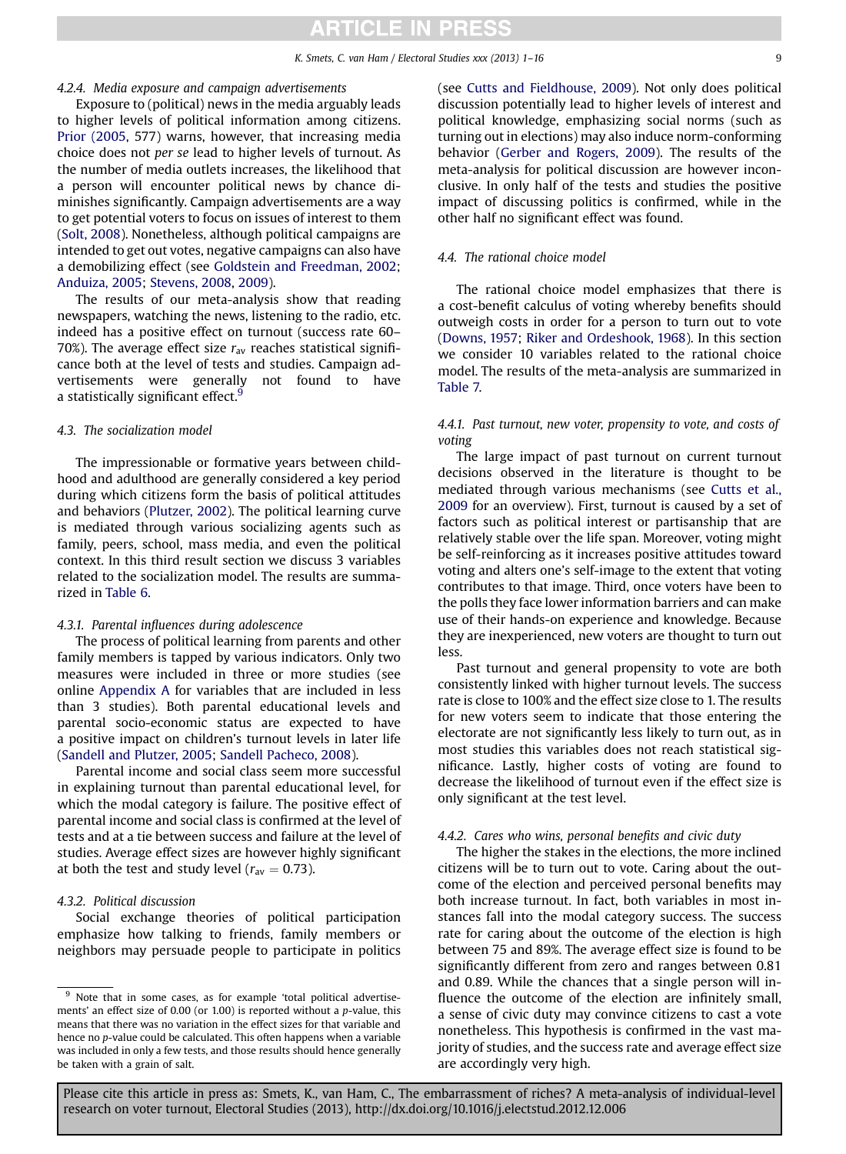#### K. Smets, C. van Ham / Electoral Studies xxx (2013) 1-16

#### 4.2.4. Media exposure and campaign advertisements

Exposure to (political) news in the media arguably leads to higher levels of political information among citizens. [Prior \(2005](#page-14-0), 577) warns, however, that increasing media choice does not per se lead to higher levels of turnout. As the number of media outlets increases, the likelihood that a person will encounter political news by chance diminishes significantly. Campaign advertisements are a way to get potential voters to focus on issues of interest to them ([Solt, 2008\)](#page-14-0). Nonetheless, although political campaigns are intended to get out votes, negative campaigns can also have a demobilizing effect (see [Goldstein and Freedman, 2002](#page-14-0); [Anduiza, 2005](#page-13-0); [Stevens, 2008](#page-14-0), [2009\)](#page-14-0).

The results of our meta-analysis show that reading newspapers, watching the news, listening to the radio, etc. indeed has a positive effect on turnout (success rate 60– 70%). The average effect size  $r_{av}$  reaches statistical significance both at the level of tests and studies. Campaign advertisements were generally not found to have a statistically significant effect.<sup>9</sup>

#### 4.3. The socialization model

The impressionable or formative years between childhood and adulthood are generally considered a key period during which citizens form the basis of political attitudes and behaviors ([Plutzer, 2002](#page-14-0)). The political learning curve is mediated through various socializing agents such as family, peers, school, mass media, and even the political context. In this third result section we discuss 3 variables related to the socialization model. The results are summarized in [Table 6](#page-9-0).

#### 4.3.1. Parental influences during adolescence

The process of political learning from parents and other family members is tapped by various indicators. Only two measures were included in three or more studies (see online Appendix A for variables that are included in less than 3 studies). Both parental educational levels and parental socio-economic status are expected to have a positive impact on children's turnout levels in later life ([Sandell and Plutzer, 2005](#page-14-0); [Sandell Pacheco, 2008](#page-14-0)).

Parental income and social class seem more successful in explaining turnout than parental educational level, for which the modal category is failure. The positive effect of parental income and social class is confirmed at the level of tests and at a tie between success and failure at the level of studies. Average effect sizes are however highly significant at both the test and study level ( $r_{av} = 0.73$ ).

#### 4.3.2. Political discussion

Social exchange theories of political participation emphasize how talking to friends, family members or neighbors may persuade people to participate in politics (see [Cutts and Fieldhouse, 2009\)](#page-13-0). Not only does political discussion potentially lead to higher levels of interest and political knowledge, emphasizing social norms (such as turning out in elections) may also induce norm-conforming behavior [\(Gerber and Rogers, 2009\)](#page-14-0). The results of the meta-analysis for political discussion are however inconclusive. In only half of the tests and studies the positive impact of discussing politics is confirmed, while in the other half no significant effect was found.

#### 4.4. The rational choice model

The rational choice model emphasizes that there is a cost-benefit calculus of voting whereby benefits should outweigh costs in order for a person to turn out to vote ([Downs, 1957](#page-14-0); [Riker and Ordeshook, 1968\)](#page-14-0). In this section we consider 10 variables related to the rational choice model. The results of the meta-analysis are summarized in [Table 7.](#page-9-0)

#### 4.4.1. Past turnout, new voter, propensity to vote, and costs of voting

The large impact of past turnout on current turnout decisions observed in the literature is thought to be mediated through various mechanisms (see [Cutts et al.,](#page-13-0) [2009](#page-13-0) for an overview). First, turnout is caused by a set of factors such as political interest or partisanship that are relatively stable over the life span. Moreover, voting might be self-reinforcing as it increases positive attitudes toward voting and alters one's self-image to the extent that voting contributes to that image. Third, once voters have been to the polls they face lower information barriers and can make use of their hands-on experience and knowledge. Because they are inexperienced, new voters are thought to turn out less.

Past turnout and general propensity to vote are both consistently linked with higher turnout levels. The success rate is close to 100% and the effect size close to 1. The results for new voters seem to indicate that those entering the electorate are not significantly less likely to turn out, as in most studies this variables does not reach statistical significance. Lastly, higher costs of voting are found to decrease the likelihood of turnout even if the effect size is only significant at the test level.

#### 4.4.2. Cares who wins, personal benefits and civic duty

The higher the stakes in the elections, the more inclined citizens will be to turn out to vote. Caring about the outcome of the election and perceived personal benefits may both increase turnout. In fact, both variables in most instances fall into the modal category success. The success rate for caring about the outcome of the election is high between 75 and 89%. The average effect size is found to be significantly different from zero and ranges between 0.81 and 0.89. While the chances that a single person will influence the outcome of the election are infinitely small, a sense of civic duty may convince citizens to cast a vote nonetheless. This hypothesis is confirmed in the vast majority of studies, and the success rate and average effect size are accordingly very high.

<sup>&</sup>lt;sup>9</sup> Note that in some cases, as for example 'total political advertisements' an effect size of 0.00 (or 1.00) is reported without a p-value, this means that there was no variation in the effect sizes for that variable and hence no p-value could be calculated. This often happens when a variable was included in only a few tests, and those results should hence generally be taken with a grain of salt.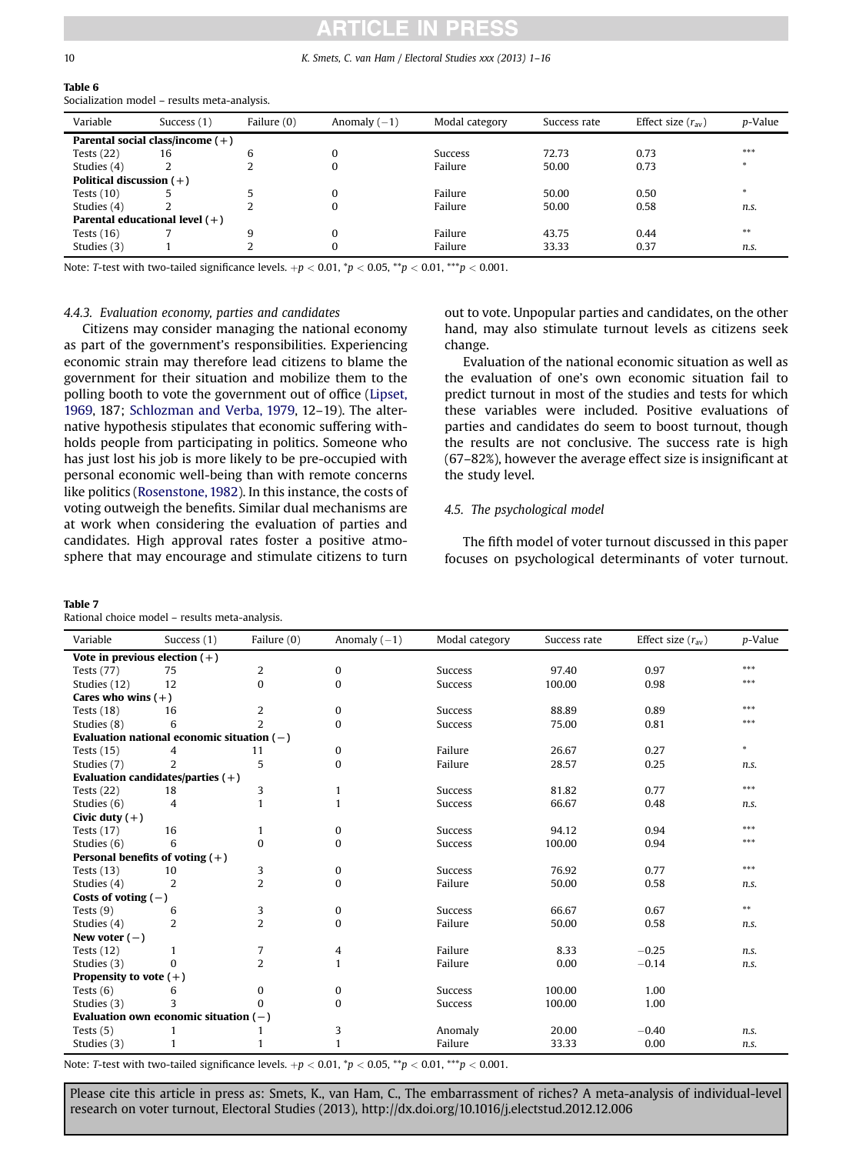### CI F

#### <span id="page-9-0"></span>10 K. Smets, C. van Ham / Electoral Studies xxx (2013) 1–16

|  | I<br>$\sim$ |  |
|--|-------------|--|
|  |             |  |
|  |             |  |

 $T - L + \epsilon$ 

| ladie o                                      |  |
|----------------------------------------------|--|
| Socialization model – results meta-analysis. |  |

| Variable                   | Success (1)                        | Failure (0) | Anomaly $(-1)$ | Modal category | Success rate | Effect size $(r_{av})$ | p-Value |
|----------------------------|------------------------------------|-------------|----------------|----------------|--------------|------------------------|---------|
|                            |                                    |             |                |                |              |                        |         |
|                            | Parental social class/income $(+)$ |             |                |                |              |                        |         |
| Tests $(22)$               | 16                                 | b           | $\Omega$       | Success        | 72.73        | 0.73                   | ***     |
| Studies (4)                |                                    |             | $\Omega$       | Failure        | 50.00        | 0.73                   | $\ast$  |
| Political discussion $(+)$ |                                    |             |                |                |              |                        |         |
| Tests $(10)$               |                                    |             | $\Omega$       | Failure        | 50.00        | 0.50                   |         |
| Studies (4)                |                                    |             | $\Omega$       | Failure        | 50.00        | 0.58                   | n.s.    |
|                            | Parental educational level $(+)$   |             |                |                |              |                        |         |
| Tests $(16)$               |                                    | 9           | $\Omega$       | Failure        | 43.75        | 0.44                   | $***$   |
| Studies (3)                |                                    |             | $\Omega$       | Failure        | 33.33        | 0.37                   | n.s.    |

Note: T-test with two-tailed significance levels.  $+p < 0.01$ ,  ${}^*p < 0.05$ ,  ${}^*p < 0.01$ ,  ${}^{***}p < 0.001$ .

#### 4.4.3. Evaluation economy, parties and candidates

Citizens may consider managing the national economy as part of the government's responsibilities. Experiencing economic strain may therefore lead citizens to blame the government for their situation and mobilize them to the polling booth to vote the government out of office [\(Lipset,](#page-14-0) [1969,](#page-14-0) 187; [Schlozman and Verba, 1979,](#page-14-0) 12–19). The alternative hypothesis stipulates that economic suffering withholds people from participating in politics. Someone who has just lost his job is more likely to be pre-occupied with personal economic well-being than with remote concerns like politics ([Rosenstone, 1982](#page-14-0)). In this instance, the costs of voting outweigh the benefits. Similar dual mechanisms are at work when considering the evaluation of parties and candidates. High approval rates foster a positive atmosphere that may encourage and stimulate citizens to turn

#### Table 7

Rational choice model – results meta-analysis.

out to vote. Unpopular parties and candidates, on the other hand, may also stimulate turnout levels as citizens seek change.

Evaluation of the national economic situation as well as the evaluation of one's own economic situation fail to predict turnout in most of the studies and tests for which these variables were included. Positive evaluations of parties and candidates do seem to boost turnout, though the results are not conclusive. The success rate is high (67–82%), however the average effect size is insignificant at the study level.

#### 4.5. The psychological model

The fifth model of voter turnout discussed in this paper focuses on psychological determinants of voter turnout.

| Variable                          | Success (1)                                  | Failure (0)    | Anomaly $(-1)$ | Modal category | Success rate | Effect size $(r_{av})$ | p-Value |
|-----------------------------------|----------------------------------------------|----------------|----------------|----------------|--------------|------------------------|---------|
| Vote in previous election $(+)$   |                                              |                |                |                |              |                        |         |
| <b>Tests (77)</b>                 | 75                                           | 2              | 0              | <b>Success</b> | 97.40        | 0.97                   | ***     |
| Studies (12)                      | 12                                           | 0              | $\bf{0}$       | Success        | 100.00       | 0.98                   | ***     |
| Cares who wins $(+)$              |                                              |                |                |                |              |                        |         |
| Tests $(18)$                      | 16                                           | 2              | $\mathbf{0}$   | <b>Success</b> | 88.89        | 0.89                   | ***     |
| Studies (8)                       | 6                                            | $\overline{2}$ | $\bf{0}$       | <b>Success</b> | 75.00        | 0.81                   | ***     |
|                                   | Evaluation national economic situation $(-)$ |                |                |                |              |                        |         |
| Tests $(15)$                      | 4                                            | 11             | 0              | Failure        | 26.67        | 0.27                   | $\ast$  |
| Studies (7)                       | $\overline{2}$                               | 5              | $\bf{0}$       | Failure        | 28.57        | 0.25                   | n.s.    |
|                                   | Evaluation candidates/parties $(+)$          |                |                |                |              |                        |         |
| Tests $(22)$                      | 18                                           | 3              | $\mathbf{1}$   | <b>Success</b> | 81.82        | 0.77                   | ***     |
| Studies (6)                       | 4                                            | 1              | $\mathbf{1}$   | <b>Success</b> | 66.67        | 0.48                   | n.s.    |
| Civic duty $(+)$                  |                                              |                |                |                |              |                        |         |
| Tests $(17)$                      | 16                                           | 1              | $\mathbf{0}$   | <b>Success</b> | 94.12        | 0.94                   | ***     |
| Studies (6)                       | 6                                            | 0              | $\bf{0}$       | <b>Success</b> | 100.00       | 0.94                   | ***     |
| Personal benefits of voting $(+)$ |                                              |                |                |                |              |                        |         |
| Tests $(13)$                      | 10                                           | 3              | 0              | <b>Success</b> | 76.92        | 0.77                   | ***     |
| Studies (4)                       | 2                                            | $\overline{2}$ | $\mathbf{0}$   | Failure        | 50.00        | 0.58                   | n.s.    |
| Costs of voting $(-)$             |                                              |                |                |                |              |                        |         |
| Tests $(9)$                       | 6                                            | 3              | 0              | <b>Success</b> | 66.67        | 0.67                   | $***$   |
| Studies (4)                       | $\overline{2}$                               | $\overline{2}$ | $\mathbf{0}$   | Failure        | 50.00        | 0.58                   | n.s.    |
| New voter $(-)$                   |                                              |                |                |                |              |                        |         |
| Tests $(12)$                      | 1                                            | 7              | 4              | Failure        | 8.33         | $-0.25$                | n.s.    |
| Studies (3)                       | $\Omega$                                     | $\overline{2}$ | $\mathbf{1}$   | Failure        | 0.00         | $-0.14$                | n.s.    |
| Propensity to vote $(+)$          |                                              |                |                |                |              |                        |         |
| Tests $(6)$                       | 6                                            | 0              | $\mathbf{0}$   | <b>Success</b> | 100.00       | 1.00                   |         |
| Studies (3)                       | 3                                            | $\Omega$       | $\mathbf{0}$   | Success        | 100.00       | 1.00                   |         |
|                                   | Evaluation own economic situation $(-)$      |                |                |                |              |                        |         |
| Tests $(5)$                       |                                              |                | 3              | Anomaly        | 20.00        | $-0.40$                | n.s.    |
| Studies (3)                       | 1                                            |                | 1              | Failure        | 33.33        | 0.00                   | n.s.    |

Note: T-test with two-tailed significance levels.  $+p < 0.01$ ,  ${}^*p < 0.05$ ,  ${}^*p < 0.01$ ,  ${}^{***}p < 0.001$ .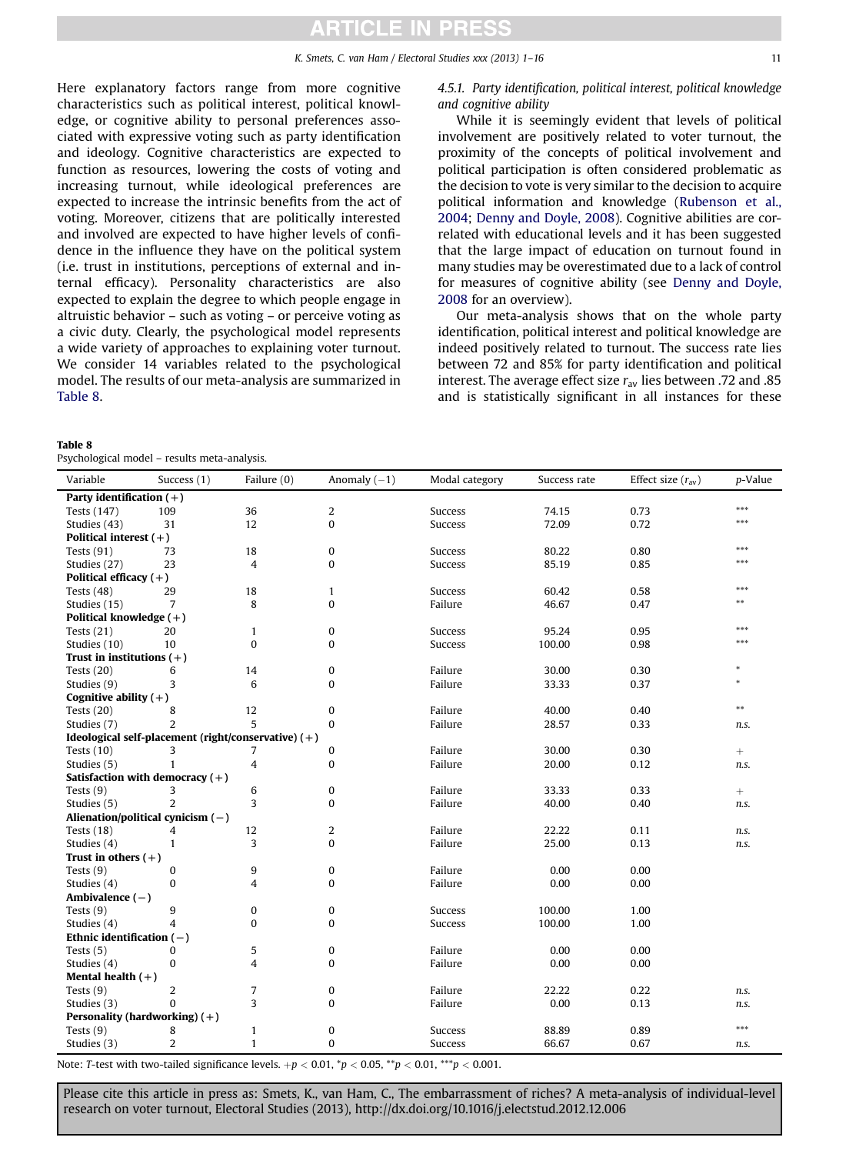Here explanatory factors range from more cognitive characteristics such as political interest, political knowledge, or cognitive ability to personal preferences associated with expressive voting such as party identification and ideology. Cognitive characteristics are expected to function as resources, lowering the costs of voting and increasing turnout, while ideological preferences are expected to increase the intrinsic benefits from the act of voting. Moreover, citizens that are politically interested and involved are expected to have higher levels of confidence in the influence they have on the political system (i.e. trust in institutions, perceptions of external and internal efficacy). Personality characteristics are also expected to explain the degree to which people engage in altruistic behavior – such as voting – or perceive voting as a civic duty. Clearly, the psychological model represents a wide variety of approaches to explaining voter turnout. We consider 14 variables related to the psychological model. The results of our meta-analysis are summarized in Table 8.

#### Table 8

Psychological model – results meta-analysis.

4.5.1. Party identification, political interest, political knowledge and cognitive ability

While it is seemingly evident that levels of political involvement are positively related to voter turnout, the proximity of the concepts of political involvement and political participation is often considered problematic as the decision to vote is very similar to the decision to acquire political information and knowledge [\(Rubenson et al.,](#page-14-0) [2004](#page-14-0); [Denny and Doyle, 2008\)](#page-13-0). Cognitive abilities are correlated with educational levels and it has been suggested that the large impact of education on turnout found in many studies may be overestimated due to a lack of control for measures of cognitive ability (see [Denny and Doyle,](#page-13-0) [2008](#page-13-0) for an overview).

Our meta-analysis shows that on the whole party identification, political interest and political knowledge are indeed positively related to turnout. The success rate lies between 72 and 85% for party identification and political interest. The average effect size  $r_{av}$  lies between .72 and .85 and is statistically significant in all instances for these

| Variable                    | Success (1)                                         | Failure (0)    | Anomaly $(-1)$   | Modal category | Success rate | Effect size $(r_{av})$ | p-Value |
|-----------------------------|-----------------------------------------------------|----------------|------------------|----------------|--------------|------------------------|---------|
| Party identification $(+)$  |                                                     |                |                  |                |              |                        |         |
| Tests (147)                 | 109                                                 | 36             | 2                | <b>Success</b> | 74.15        | 0.73                   | ***     |
| Studies (43)                | 31                                                  | 12             | $\boldsymbol{0}$ | Success        | 72.09        | 0.72                   | ***     |
| Political interest $(+)$    |                                                     |                |                  |                |              |                        |         |
| Tests $(91)$                | 73                                                  | 18             | $\boldsymbol{0}$ | <b>Success</b> | 80.22        | 0.80                   | ***     |
| Studies (27)                | 23                                                  | $\overline{4}$ | $\bf{0}$         | Success        | 85.19        | 0.85                   | ***     |
| Political efficacy $(+)$    |                                                     |                |                  |                |              |                        |         |
| Tests $(48)$                | 29                                                  | 18             | $\mathbf{1}$     | Success        | 60.42        | 0.58                   | ***     |
| Studies (15)                | 7                                                   | 8              | $\boldsymbol{0}$ | Failure        | 46.67        | 0.47                   | $***$   |
| Political knowledge $(+)$   |                                                     |                |                  |                |              |                        |         |
| Tests $(21)$                | 20                                                  | $\mathbf{1}$   | $\boldsymbol{0}$ | Success        | 95.24        | 0.95                   | ***     |
| Studies (10)                | 10                                                  | $\bf{0}$       | $\bf{0}$         | Success        | 100.00       | 0.98                   | ***     |
| Trust in institutions $(+)$ |                                                     |                |                  |                |              |                        |         |
| Tests $(20)$                | 6                                                   | 14             | $\bf{0}$         | Failure        | 30.00        | 0.30                   | *       |
| Studies (9)                 | 3                                                   | 6              | $\bf{0}$         | Failure        | 33.33        | 0.37                   | ×.      |
| Cognitive ability $(+)$     |                                                     |                |                  |                |              |                        |         |
| Tests $(20)$                | 8                                                   | 12             | $\boldsymbol{0}$ | Failure        | 40.00        | 0.40                   | $***$   |
| Studies (7)                 | $\overline{2}$                                      | 5              | $\bf{0}$         | Failure        | 28.57        | 0.33                   | n.s.    |
|                             | Ideological self-placement (right/conservative) (+) |                |                  |                |              |                        |         |
| Tests $(10)$                | 3                                                   | 7              | 0                | Failure        | 30.00        | 0.30                   | $^{+}$  |
| Studies (5)                 | $\mathbf{1}$                                        | 4              | 0                | Failure        | 20.00        | 0.12                   | n.s.    |
|                             | Satisfaction with democracy $(+)$                   |                |                  |                |              |                        |         |
| Tests $(9)$                 | 3                                                   | 6              | $\boldsymbol{0}$ | Failure        | 33.33        | 0.33                   | $^{+}$  |
| Studies (5)                 | $\overline{2}$                                      | 3              | 0                | Failure        | 40.00        | 0.40                   | n.s.    |
|                             | Alienation/political cynicism $(-)$                 |                |                  |                |              |                        |         |
| Tests $(18)$                | 4                                                   | 12             | 2                | Failure        | 22.22        | 0.11                   | n.s.    |
| Studies (4)                 | $\mathbf{1}$                                        | 3              | $\mathbf{0}$     | Failure        | 25.00        | 0.13                   | n.s.    |
| Trust in others $(+)$       |                                                     |                |                  |                |              |                        |         |
| Tests $(9)$                 | $\mathbf{0}$                                        | 9              | $\boldsymbol{0}$ | Failure        | 0.00         | 0.00                   |         |
| Studies (4)                 | $\bf{0}$                                            | 4              | 0                | Failure        | 0.00         | 0.00                   |         |
| Ambivalence $(-)$           |                                                     |                |                  |                |              |                        |         |
| Tests $(9)$                 | 9                                                   | 0              | 0                | <b>Success</b> | 100.00       | 1.00                   |         |
| Studies (4)                 | $\overline{\mathbf{A}}$                             | 0              | 0                | Success        | 100.00       | 1.00                   |         |
| Ethnic identification $(-)$ |                                                     |                |                  |                |              |                        |         |
| Tests $(5)$                 | $\Omega$                                            | 5              | $\boldsymbol{0}$ | Failure        | 0.00         | 0.00                   |         |
| Studies (4)                 | $\bf{0}$                                            | 4              | 0                | Failure        | 0.00         | 0.00                   |         |
| Mental health $(+)$         |                                                     |                |                  |                |              |                        |         |
| Tests $(9)$                 | 2                                                   | 7              | $\boldsymbol{0}$ | Failure        | 22.22        | 0.22                   | n.s.    |
| Studies (3)                 | $\Omega$                                            | 3              | 0                | Failure        | 0.00         | 0.13                   | n.s.    |
|                             | Personality (hardworking) (+)                       |                |                  |                |              |                        |         |
| Tests $(9)$                 | 8                                                   | $\mathbf{1}$   | $\boldsymbol{0}$ | <b>Success</b> | 88.89        | 0.89                   | ***     |
| Studies (3)                 | $\overline{2}$                                      | $\mathbf{1}$   | $\mathbf{0}$     | <b>Success</b> | 66.67        | 0.67                   | n.s.    |

Note: T-test with two-tailed significance levels.  $+p < 0.01$ ,  $\sp{*}p < 0.05$ ,  $\sp{*}p < 0.01$ ,  $\sp{*} \sp{*}p < 0.001$ .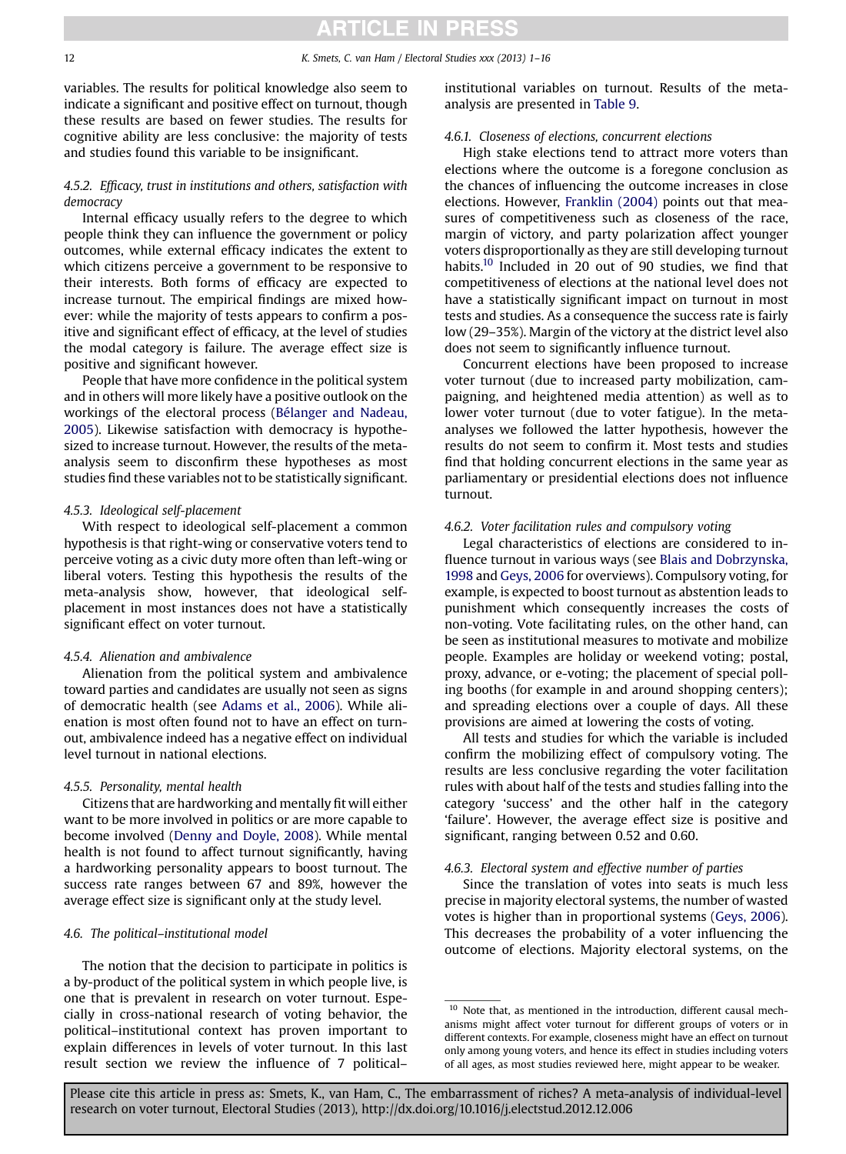variables. The results for political knowledge also seem to indicate a significant and positive effect on turnout, though these results are based on fewer studies. The results for cognitive ability are less conclusive: the majority of tests and studies found this variable to be insignificant.

#### 4.5.2. Efficacy, trust in institutions and others, satisfaction with democracy

Internal efficacy usually refers to the degree to which people think they can influence the government or policy outcomes, while external efficacy indicates the extent to which citizens perceive a government to be responsive to their interests. Both forms of efficacy are expected to increase turnout. The empirical findings are mixed however: while the majority of tests appears to confirm a positive and significant effect of efficacy, at the level of studies the modal category is failure. The average effect size is positive and significant however.

People that have more confidence in the political system and in others will more likely have a positive outlook on the workings of the electoral process ([Bélanger and Nadeau,](#page-13-0) [2005](#page-13-0)). Likewise satisfaction with democracy is hypothesized to increase turnout. However, the results of the metaanalysis seem to disconfirm these hypotheses as most studies find these variables not to be statistically significant.

#### 4.5.3. Ideological self-placement

With respect to ideological self-placement a common hypothesis is that right-wing or conservative voters tend to perceive voting as a civic duty more often than left-wing or liberal voters. Testing this hypothesis the results of the meta-analysis show, however, that ideological selfplacement in most instances does not have a statistically significant effect on voter turnout.

#### 4.5.4. Alienation and ambivalence

Alienation from the political system and ambivalence toward parties and candidates are usually not seen as signs of democratic health (see [Adams et al., 2006\)](#page-13-0). While alienation is most often found not to have an effect on turnout, ambivalence indeed has a negative effect on individual level turnout in national elections.

#### 4.5.5. Personality, mental health

Citizens that are hardworking and mentally fit will either want to be more involved in politics or are more capable to become involved ([Denny and Doyle, 2008](#page-13-0)). While mental health is not found to affect turnout significantly, having a hardworking personality appears to boost turnout. The success rate ranges between 67 and 89%, however the average effect size is significant only at the study level.

#### 4.6. The political–institutional model

The notion that the decision to participate in politics is a by-product of the political system in which people live, is one that is prevalent in research on voter turnout. Especially in cross-national research of voting behavior, the political–institutional context has proven important to explain differences in levels of voter turnout. In this last result section we review the influence of 7 political–

institutional variables on turnout. Results of the metaanalysis are presented in [Table 9.](#page-12-0)

#### 4.6.1. Closeness of elections, concurrent elections

High stake elections tend to attract more voters than elections where the outcome is a foregone conclusion as the chances of influencing the outcome increases in close elections. However, [Franklin \(2004\)](#page-14-0) points out that measures of competitiveness such as closeness of the race, margin of victory, and party polarization affect younger voters disproportionally as they are still developing turnout habits.<sup>10</sup> Included in 20 out of 90 studies, we find that competitiveness of elections at the national level does not have a statistically significant impact on turnout in most tests and studies. As a consequence the success rate is fairly low (29–35%). Margin of the victory at the district level also does not seem to significantly influence turnout.

Concurrent elections have been proposed to increase voter turnout (due to increased party mobilization, campaigning, and heightened media attention) as well as to lower voter turnout (due to voter fatigue). In the metaanalyses we followed the latter hypothesis, however the results do not seem to confirm it. Most tests and studies find that holding concurrent elections in the same year as parliamentary or presidential elections does not influence turnout.

#### 4.6.2. Voter facilitation rules and compulsory voting

Legal characteristics of elections are considered to influence turnout in various ways (see [Blais and Dobrzynska,](#page-13-0) [1998](#page-13-0) and [Geys, 2006](#page-14-0) for overviews). Compulsory voting, for example, is expected to boost turnout as abstention leads to punishment which consequently increases the costs of non-voting. Vote facilitating rules, on the other hand, can be seen as institutional measures to motivate and mobilize people. Examples are holiday or weekend voting; postal, proxy, advance, or e-voting; the placement of special polling booths (for example in and around shopping centers); and spreading elections over a couple of days. All these provisions are aimed at lowering the costs of voting.

All tests and studies for which the variable is included confirm the mobilizing effect of compulsory voting. The results are less conclusive regarding the voter facilitation rules with about half of the tests and studies falling into the category 'success' and the other half in the category 'failure'. However, the average effect size is positive and significant, ranging between 0.52 and 0.60.

#### 4.6.3. Electoral system and effective number of parties

Since the translation of votes into seats is much less precise in majority electoral systems, the number of wasted votes is higher than in proportional systems ([Geys, 2006](#page-14-0)). This decreases the probability of a voter influencing the outcome of elections. Majority electoral systems, on the

 $10$  Note that, as mentioned in the introduction, different causal mechanisms might affect voter turnout for different groups of voters or in different contexts. For example, closeness might have an effect on turnout only among young voters, and hence its effect in studies including voters of all ages, as most studies reviewed here, might appear to be weaker.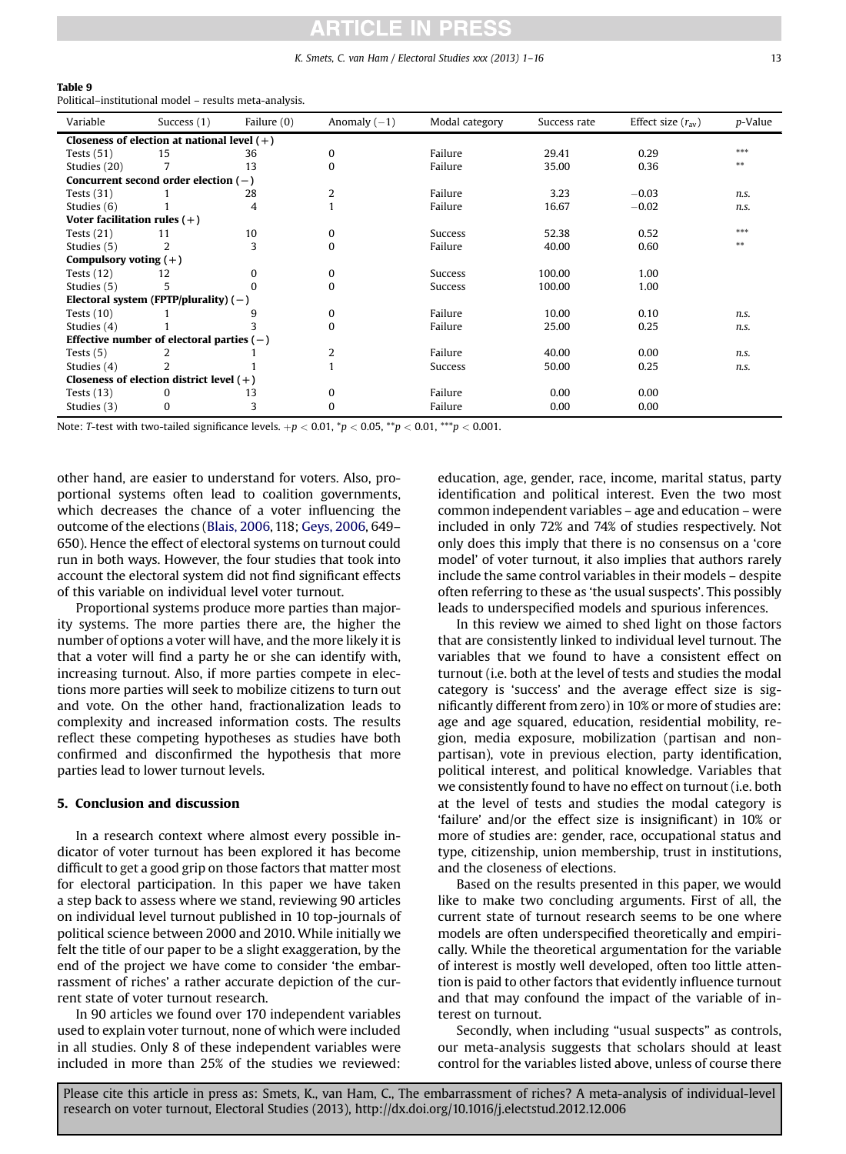#### K. Smets, C. van Ham / Electoral Studies xxx (2013) 1–16 13

<span id="page-12-0"></span>

| Table |  |  |  |  |
|-------|--|--|--|--|
|-------|--|--|--|--|

Political–institutional model – results meta-analysis.

| Variable                                      | Success $(1)$                               | Failure (0) | Anomaly $(-1)$ | Modal category | Success rate | Effect size $(r_{av})$ | p-Value |  |
|-----------------------------------------------|---------------------------------------------|-------------|----------------|----------------|--------------|------------------------|---------|--|
| Closeness of election at national level $(+)$ |                                             |             |                |                |              |                        |         |  |
| Tests $(51)$                                  | 15                                          | 36          | 0              | Failure        | 29.41        | 0.29                   | ***     |  |
| Studies (20)                                  |                                             | 13          | 0              | Failure        | 35.00        | 0.36                   | $**$    |  |
|                                               | Concurrent second order election $(-)$      |             |                |                |              |                        |         |  |
| Tests $(31)$                                  |                                             | 28          | $\overline{2}$ | Failure        | 3.23         | $-0.03$                | n.s.    |  |
| Studies (6)                                   |                                             | 4           |                | Failure        | 16.67        | $-0.02$                | n.s.    |  |
| Voter facilitation rules $(+)$                |                                             |             |                |                |              |                        |         |  |
| Tests $(21)$                                  | 11                                          | 10          | 0              | Success        | 52.38        | 0.52                   | ***     |  |
| Studies (5)                                   | $\overline{2}$                              | 3           | $\Omega$       | Failure        | 40.00        | 0.60                   | $**$    |  |
| Compulsory voting $(+)$                       |                                             |             |                |                |              |                        |         |  |
| Tests $(12)$                                  | 12                                          | $\Omega$    | 0              | Success        | 100.00       | 1.00                   |         |  |
| Studies (5)                                   | 5                                           | $\Omega$    | $\Omega$       | Success        | 100.00       | 1.00                   |         |  |
|                                               | Electoral system (FPTP/plurality) $(-)$     |             |                |                |              |                        |         |  |
| Tests $(10)$                                  |                                             | 9           | 0              | Failure        | 10.00        | 0.10                   | n.s.    |  |
| Studies (4)                                   |                                             | 3           | $\Omega$       | Failure        | 25.00        | 0.25                   | n.s.    |  |
|                                               | Effective number of electoral parties $(-)$ |             |                |                |              |                        |         |  |
| Tests $(5)$                                   |                                             |             | 2              | Failure        | 40.00        | 0.00                   | n.s.    |  |
| Studies (4)                                   |                                             |             |                | Success        | 50.00        | 0.25                   | n.s.    |  |
|                                               | Closeness of election district level $(+)$  |             |                |                |              |                        |         |  |
| Tests $(13)$                                  | 0                                           | 13          | 0              | Failure        | 0.00         | 0.00                   |         |  |
| Studies (3)                                   | $\bf{0}$                                    | 3           | 0              | Failure        | 0.00         | 0.00                   |         |  |

Note: T-test with two-tailed significance levels. +p < 0.01,  $^*p$  < 0.05,  $^{**}p$  < 0.01,  $^{**}p$  < 0.001.

other hand, are easier to understand for voters. Also, proportional systems often lead to coalition governments, which decreases the chance of a voter influencing the outcome of the elections [\(Blais, 2006,](#page-13-0) 118; [Geys, 2006](#page-14-0), 649– 650). Hence the effect of electoral systems on turnout could run in both ways. However, the four studies that took into account the electoral system did not find significant effects of this variable on individual level voter turnout.

Proportional systems produce more parties than majority systems. The more parties there are, the higher the number of options a voter will have, and the more likely it is that a voter will find a party he or she can identify with, increasing turnout. Also, if more parties compete in elections more parties will seek to mobilize citizens to turn out and vote. On the other hand, fractionalization leads to complexity and increased information costs. The results reflect these competing hypotheses as studies have both confirmed and disconfirmed the hypothesis that more parties lead to lower turnout levels.

#### 5. Conclusion and discussion

In a research context where almost every possible indicator of voter turnout has been explored it has become difficult to get a good grip on those factors that matter most for electoral participation. In this paper we have taken a step back to assess where we stand, reviewing 90 articles on individual level turnout published in 10 top-journals of political science between 2000 and 2010. While initially we felt the title of our paper to be a slight exaggeration, by the end of the project we have come to consider 'the embarrassment of riches' a rather accurate depiction of the current state of voter turnout research.

In 90 articles we found over 170 independent variables used to explain voter turnout, none of which were included in all studies. Only 8 of these independent variables were included in more than 25% of the studies we reviewed: education, age, gender, race, income, marital status, party identification and political interest. Even the two most common independent variables – age and education – were included in only 72% and 74% of studies respectively. Not only does this imply that there is no consensus on a 'core model' of voter turnout, it also implies that authors rarely include the same control variables in their models – despite often referring to these as 'the usual suspects'. This possibly leads to underspecified models and spurious inferences.

In this review we aimed to shed light on those factors that are consistently linked to individual level turnout. The variables that we found to have a consistent effect on turnout (i.e. both at the level of tests and studies the modal category is 'success' and the average effect size is significantly different from zero) in 10% or more of studies are: age and age squared, education, residential mobility, region, media exposure, mobilization (partisan and nonpartisan), vote in previous election, party identification, political interest, and political knowledge. Variables that we consistently found to have no effect on turnout (i.e. both at the level of tests and studies the modal category is 'failure' and/or the effect size is insignificant) in 10% or more of studies are: gender, race, occupational status and type, citizenship, union membership, trust in institutions, and the closeness of elections.

Based on the results presented in this paper, we would like to make two concluding arguments. First of all, the current state of turnout research seems to be one where models are often underspecified theoretically and empirically. While the theoretical argumentation for the variable of interest is mostly well developed, often too little attention is paid to other factors that evidently influence turnout and that may confound the impact of the variable of interest on turnout.

Secondly, when including "usual suspects" as controls, our meta-analysis suggests that scholars should at least control for the variables listed above, unless of course there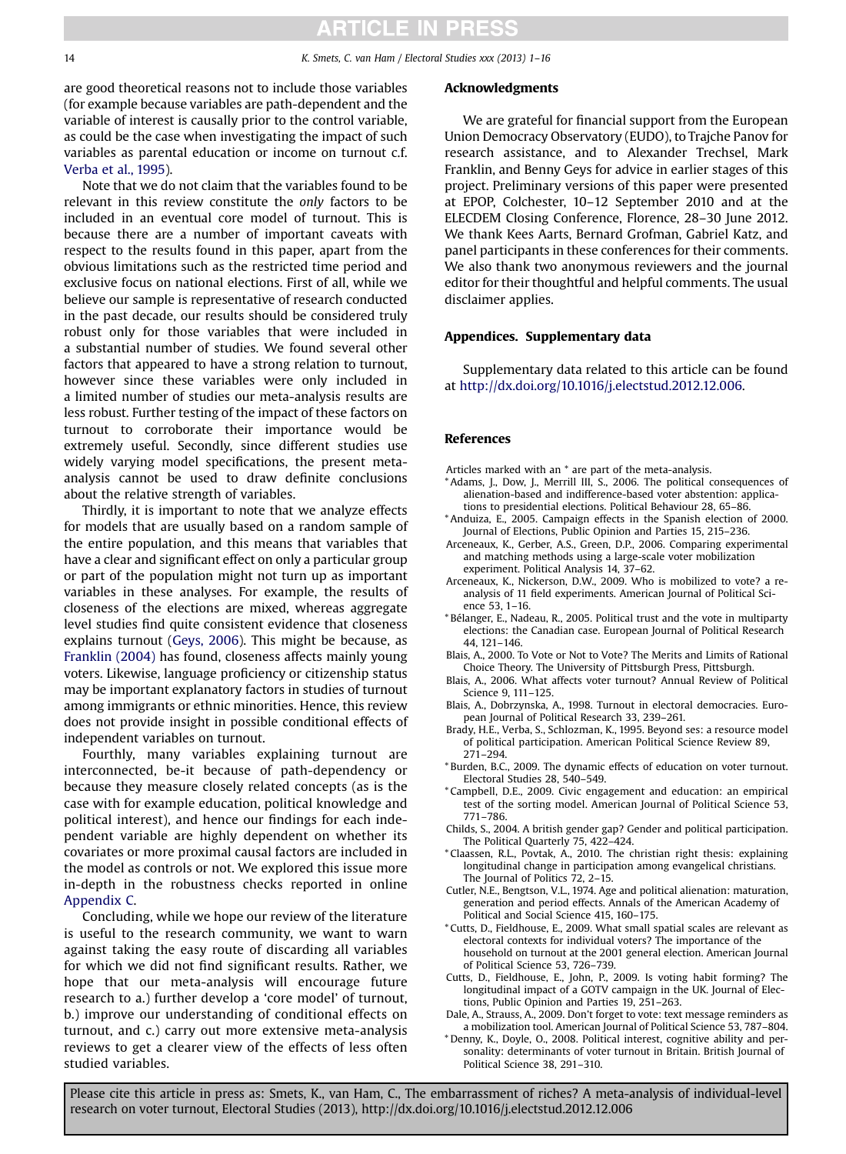<span id="page-13-0"></span>are good theoretical reasons not to include those variables (for example because variables are path-dependent and the variable of interest is causally prior to the control variable, as could be the case when investigating the impact of such variables as parental education or income on turnout c.f. [Verba et al., 1995](#page-14-0)).

Note that we do not claim that the variables found to be relevant in this review constitute the only factors to be included in an eventual core model of turnout. This is because there are a number of important caveats with respect to the results found in this paper, apart from the obvious limitations such as the restricted time period and exclusive focus on national elections. First of all, while we believe our sample is representative of research conducted in the past decade, our results should be considered truly robust only for those variables that were included in a substantial number of studies. We found several other factors that appeared to have a strong relation to turnout, however since these variables were only included in a limited number of studies our meta-analysis results are less robust. Further testing of the impact of these factors on turnout to corroborate their importance would be extremely useful. Secondly, since different studies use widely varying model specifications, the present metaanalysis cannot be used to draw definite conclusions about the relative strength of variables.

Thirdly, it is important to note that we analyze effects for models that are usually based on a random sample of the entire population, and this means that variables that have a clear and significant effect on only a particular group or part of the population might not turn up as important variables in these analyses. For example, the results of closeness of the elections are mixed, whereas aggregate level studies find quite consistent evidence that closeness explains turnout [\(Geys, 2006\)](#page-14-0). This might be because, as [Franklin \(2004\)](#page-14-0) has found, closeness affects mainly young voters. Likewise, language proficiency or citizenship status may be important explanatory factors in studies of turnout among immigrants or ethnic minorities. Hence, this review does not provide insight in possible conditional effects of independent variables on turnout.

Fourthly, many variables explaining turnout are interconnected, be-it because of path-dependency or because they measure closely related concepts (as is the case with for example education, political knowledge and political interest), and hence our findings for each independent variable are highly dependent on whether its covariates or more proximal causal factors are included in the model as controls or not. We explored this issue more in-depth in the robustness checks reported in online Appendix C.

Concluding, while we hope our review of the literature is useful to the research community, we want to warn against taking the easy route of discarding all variables for which we did not find significant results. Rather, we hope that our meta-analysis will encourage future research to a.) further develop a 'core model' of turnout, b.) improve our understanding of conditional effects on turnout, and c.) carry out more extensive meta-analysis reviews to get a clearer view of the effects of less often studied variables.

#### Acknowledgments

We are grateful for financial support from the European Union Democracy Observatory (EUDO), to Trajche Panov for research assistance, and to Alexander Trechsel, Mark Franklin, and Benny Geys for advice in earlier stages of this project. Preliminary versions of this paper were presented at EPOP, Colchester, 10–12 September 2010 and at the ELECDEM Closing Conference, Florence, 28–30 June 2012. We thank Kees Aarts, Bernard Grofman, Gabriel Katz, and panel participants in these conferences for their comments. We also thank two anonymous reviewers and the journal editor for their thoughtful and helpful comments. The usual disclaimer applies.

#### Appendices. Supplementary data

Supplementary data related to this article can be found at [http://dx.doi.org/10.1016/j.electstud.2012.12.006.](http://dx.doi.org/10.1016/j.electstud.2012.12.006)

#### References

- Articles marked with an \* are part of the meta-analysis.
- \* Adams, J., Dow, J., Merrill III, S., 2006. The political consequences of alienation-based and indifference-based voter abstention: applications to presidential elections. Political Behaviour 28, 65–86.
- \* Anduiza, E., 2005. Campaign effects in the Spanish election of 2000. Journal of Elections, Public Opinion and Parties 15, 215–236.
- Arceneaux, K., Gerber, A.S., Green, D.P., 2006. Comparing experimental and matching methods using a large-scale voter mobilization experiment. Political Analysis 14, 37–62.
- Arceneaux, K., Nickerson, D.W., 2009. Who is mobilized to vote? a reanalysis of 11 field experiments. American Journal of Political Science 53, 1–16.
- \* Bélanger, E., Nadeau, R., 2005. Political trust and the vote in multiparty elections: the Canadian case. European Journal of Political Research 44, 121–146.
- Blais, A., 2000. To Vote or Not to Vote? The Merits and Limits of Rational Choice Theory. The University of Pittsburgh Press, Pittsburgh.
- Blais, A., 2006. What affects voter turnout? Annual Review of Political Science 9, 111–125.
- Blais, A., Dobrzynska, A., 1998. Turnout in electoral democracies. European Journal of Political Research 33, 239–261.
- Brady, H.E., Verba, S., Schlozman, K., 1995. Beyond ses: a resource model of political participation. American Political Science Review 89, 271–294.
- \* Burden, B.C., 2009. The dynamic effects of education on voter turnout. Electoral Studies 28, 540–549.
- \* Campbell, D.E., 2009. Civic engagement and education: an empirical test of the sorting model. American Journal of Political Science 53, 771–786.
- Childs, S., 2004. A british gender gap? Gender and political participation. The Political Quarterly 75, 422–424.
- \* Claassen, R.L., Povtak, A., 2010. The christian right thesis: explaining longitudinal change in participation among evangelical christians. The Journal of Politics 72, 2–15.
- Cutler, N.E., Bengtson, V.L., 1974. Age and political alienation: maturation, generation and period effects. Annals of the American Academy of Political and Social Science 415, 160–175.
- \* Cutts, D., Fieldhouse, E., 2009. What small spatial scales are relevant as electoral contexts for individual voters? The importance of the household on turnout at the 2001 general election. American Journal of Political Science 53, 726–739.
- Cutts, D., Fieldhouse, E., John, P., 2009. Is voting habit forming? The longitudinal impact of a GOTV campaign in the UK. Journal of Elections, Public Opinion and Parties 19, 251–263.
- Dale, A., Strauss, A., 2009. Don't forget to vote: text message reminders as a mobilization tool. American Journal of Political Science 53, 787–804.

\* Denny, K., Doyle, O., 2008. Political interest, cognitive ability and personality: determinants of voter turnout in Britain. British Journal of Political Science 38, 291–310.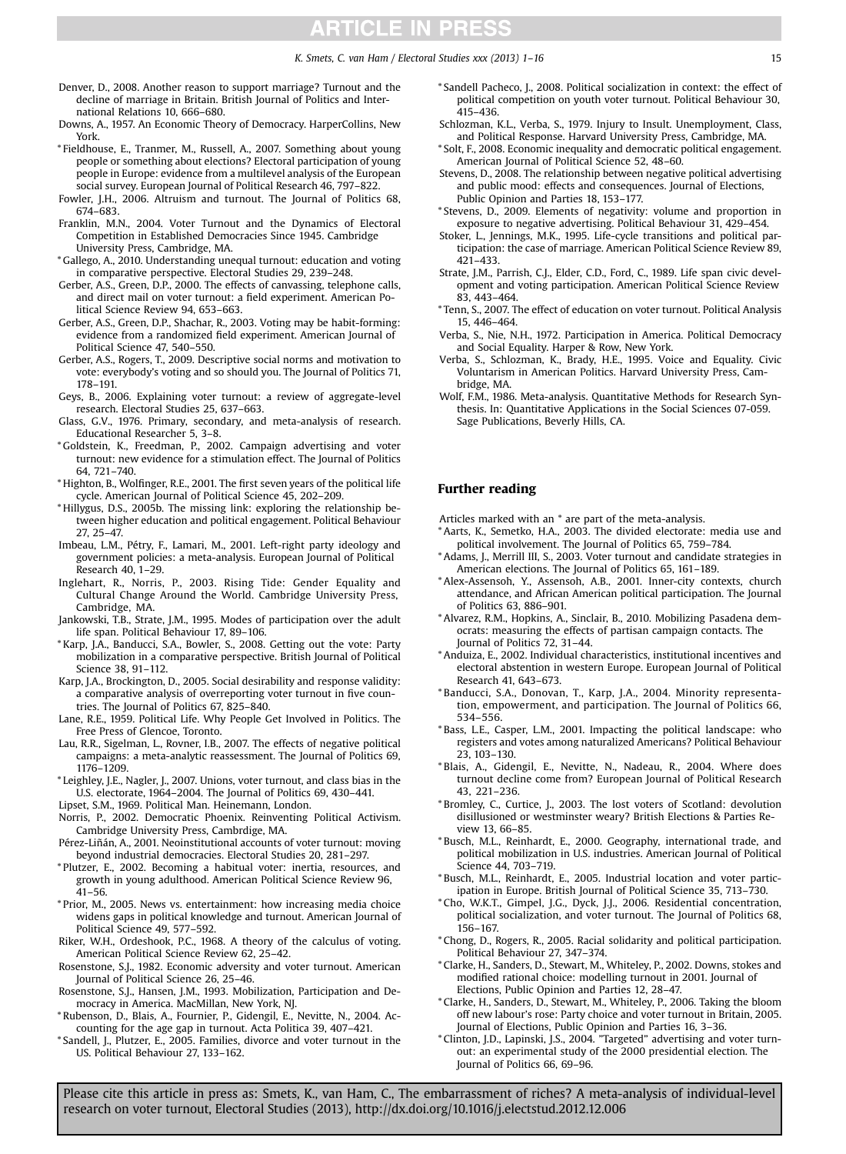#### K. Smets, C. van Ham / Electoral Studies xxx (2013) 1-16 15

- <span id="page-14-0"></span>Denver, D., 2008. Another reason to support marriage? Turnout and the decline of marriage in Britain. British Journal of Politics and International Relations 10, 666–680.
- Downs, A., 1957. An Economic Theory of Democracy. HarperCollins, New York.
- \* Fieldhouse, E., Tranmer, M., Russell, A., 2007. Something about young people or something about elections? Electoral participation of young people in Europe: evidence from a multilevel analysis of the European social survey. European Journal of Political Research 46, 797–822.
- Fowler, J.H., 2006. Altruism and turnout. The Journal of Politics 68, 674–683.
- Franklin, M.N., 2004. Voter Turnout and the Dynamics of Electoral Competition in Established Democracies Since 1945. Cambridge University Press, Cambridge, MA.
- \* Gallego, A., 2010. Understanding unequal turnout: education and voting in comparative perspective. Electoral Studies 29, 239–248.
- Gerber, A.S., Green, D.P., 2000. The effects of canvassing, telephone calls, and direct mail on voter turnout: a field experiment. American Political Science Review 94, 653–663.
- Gerber, A.S., Green, D.P., Shachar, R., 2003. Voting may be habit-forming: evidence from a randomized field experiment. American Journal of Political Science 47, 540–550.
- Gerber, A.S., Rogers, T., 2009. Descriptive social norms and motivation to vote: everybody's voting and so should you. The Journal of Politics 71, 178–191.
- Geys, B., 2006. Explaining voter turnout: a review of aggregate-level research. Electoral Studies 25, 637–663.
- Glass, G.V., 1976. Primary, secondary, and meta-analysis of research. Educational Researcher 5, 3–8.
- \* Goldstein, K., Freedman, P., 2002. Campaign advertising and voter turnout: new evidence for a stimulation effect. The Journal of Politics 64, 721–740.
- \* Highton, B., Wolfinger, R.E., 2001. The first seven years of the political life cycle. American Journal of Political Science 45, 202–209.
- \* Hillygus, D.S., 2005b. The missing link: exploring the relationship between higher education and political engagement. Political Behaviour 27, 25–47.
- Imbeau, L.M., Pétry, F., Lamari, M., 2001. Left-right party ideology and government policies: a meta-analysis. European Journal of Political Research 40, 1–29.
- Inglehart, R., Norris, P., 2003. Rising Tide: Gender Equality and Cultural Change Around the World. Cambridge University Press, Cambridge, MA.
- Jankowski, T.B., Strate, J.M., 1995. Modes of participation over the adult life span. Political Behaviour 17, 89–106.
- \* Karp, J.A., Banducci, S.A., Bowler, S., 2008. Getting out the vote: Party mobilization in a comparative perspective. British Journal of Political Science 38, 91–112.
- Karp, J.A., Brockington, D., 2005. Social desirability and response validity: a comparative analysis of overreporting voter turnout in five countries. The Journal of Politics 67, 825–840.
- Lane, R.E., 1959. Political Life. Why People Get Involved in Politics. The Free Press of Glencoe, Toronto.
- Lau, R.R., Sigelman, L., Rovner, I.B., 2007. The effects of negative political campaigns: a meta-analytic reassessment. The Journal of Politics 69, 1176–1209.
- \* Leighley, J.E., Nagler, J., 2007. Unions, voter turnout, and class bias in the U.S. electorate, 1964–2004. The Journal of Politics 69, 430–441.
- Lipset, S.M., 1969. Political Man. Heinemann, London.
- Norris, P., 2002. Democratic Phoenix. Reinventing Political Activism. Cambridge University Press, Cambrdige, MA.
- Pérez-Liñán, A., 2001. Neoinstitutional accounts of voter turnout: moving beyond industrial democracies. Electoral Studies 20, 281–297.
- \* Plutzer, E., 2002. Becoming a habitual voter: inertia, resources, and growth in young adulthood. American Political Science Review 96, 41–56.
- \* Prior, M., 2005. News vs. entertainment: how increasing media choice widens gaps in political knowledge and turnout. American Journal of Political Science 49, 577–592.
- Riker, W.H., Ordeshook, P.C., 1968. A theory of the calculus of voting. American Political Science Review 62, 25–42.
- Rosenstone, S.J., 1982. Economic adversity and voter turnout. American Journal of Political Science 26, 25–46.
- Rosenstone, S.J., Hansen, J.M., 1993. Mobilization, Participation and Democracy in America. MacMillan, New York, NJ.
- \* Rubenson, D., Blais, A., Fournier, P., Gidengil, E., Nevitte, N., 2004. Accounting for the age gap in turnout. Acta Politica 39, 407–421.
- \* Sandell, J., Plutzer, E., 2005. Families, divorce and voter turnout in the US. Political Behaviour 27, 133–162.
- \* Sandell Pacheco, J., 2008. Political socialization in context: the effect of political competition on youth voter turnout. Political Behaviour 30, 415–436.
- Schlozman, K.L., Verba, S., 1979. Injury to Insult. Unemployment, Class, and Political Response. Harvard University Press, Cambridge, MA.
- \* Solt, F., 2008. Economic inequality and democratic political engagement. American Journal of Political Science 52, 48–60.
- Stevens, D., 2008. The relationship between negative political advertising and public mood: effects and consequences. Journal of Elections, Public Opinion and Parties 18, 153–177.
- \* Stevens, D., 2009. Elements of negativity: volume and proportion in exposure to negative advertising. Political Behaviour 31, 429–454.
- Stoker, L., Jennings, M.K., 1995. Life-cycle transitions and political participation: the case of marriage. American Political Science Review 89, 421–433.
- Strate, J.M., Parrish, C.J., Elder, C.D., Ford, C., 1989. Life span civic development and voting participation. American Political Science Review 83, 443–464.
- \* Tenn, S., 2007. The effect of education on voter turnout. Political Analysis 15, 446–464.
- Verba, S., Nie, N.H., 1972. Participation in America. Political Democracy and Social Equality. Harper & Row, New York.
- Verba, S., Schlozman, K., Brady, H.E., 1995. Voice and Equality. Civic Voluntarism in American Politics. Harvard University Press, Cambridge, MA.
- Wolf, F.M., 1986. Meta-analysis. Quantitative Methods for Research Synthesis. In: Quantitative Applications in the Social Sciences 07-059. Sage Publications, Beverly Hills, CA.

#### Further reading

Articles marked with an \* are part of the meta-analysis.

- \* Aarts, K., Semetko, H.A., 2003. The divided electorate: media use and political involvement. The Journal of Politics 65, 759–784.
- \* Adams, J., Merrill III, S., 2003. Voter turnout and candidate strategies in American elections. The Journal of Politics 65, 161–189.
- \* Alex-Assensoh, Y., Assensoh, A.B., 2001. Inner-city contexts, church attendance, and African American political participation. The Journal of Politics 63, 886–901.
- \* Alvarez, R.M., Hopkins, A., Sinclair, B., 2010. Mobilizing Pasadena democrats: measuring the effects of partisan campaign contacts. The Journal of Politics 72, 31–44.
- \* Anduiza, E., 2002. Individual characteristics, institutional incentives and electoral abstention in western Europe. European Journal of Political Research 41, 643–673.
- \* Banducci, S.A., Donovan, T., Karp, J.A., 2004. Minority representation, empowerment, and participation. The Journal of Politics 66, 534–556.
- \* Bass, L.E., Casper, L.M., 2001. Impacting the political landscape: who registers and votes among naturalized Americans? Political Behaviour 23, 103–130.
- \* Blais, A., Gidengil, E., Nevitte, N., Nadeau, R., 2004. Where does turnout decline come from? European Journal of Political Research 43, 221–236.
- \* Bromley, C., Curtice, J., 2003. The lost voters of Scotland: devolution disillusioned or westminster weary? British Elections & Parties Review 13, 66–85.
- \* Busch, M.L., Reinhardt, E., 2000. Geography, international trade, and political mobilization in U.S. industries. American Journal of Political Science 44, 703–719.
- \* Busch, M.L., Reinhardt, E., 2005. Industrial location and voter participation in Europe. British Journal of Political Science 35, 713–730.
- \* Cho, W.K.T., Gimpel, J.G., Dyck, J.J., 2006. Residential concentration, political socialization, and voter turnout. The Journal of Politics 68, 156–167.
- \* Chong, D., Rogers, R., 2005. Racial solidarity and political participation. Political Behaviour 27, 347–374.
- \* Clarke, H., Sanders, D., Stewart, M., Whiteley, P., 2002. Downs, stokes and modified rational choice: modelling turnout in 2001. Journal of Elections, Public Opinion and Parties 12, 28–47.
- \* Clarke, H., Sanders, D., Stewart, M., Whiteley, P., 2006. Taking the bloom off new labour's rose: Party choice and voter turnout in Britain, 2005. Journal of Elections, Public Opinion and Parties 16, 3–36.
- \* Clinton, J.D., Lapinski, J.S., 2004. "Targeted" advertising and voter turnout: an experimental study of the 2000 presidential election. The Journal of Politics 66, 69–96.